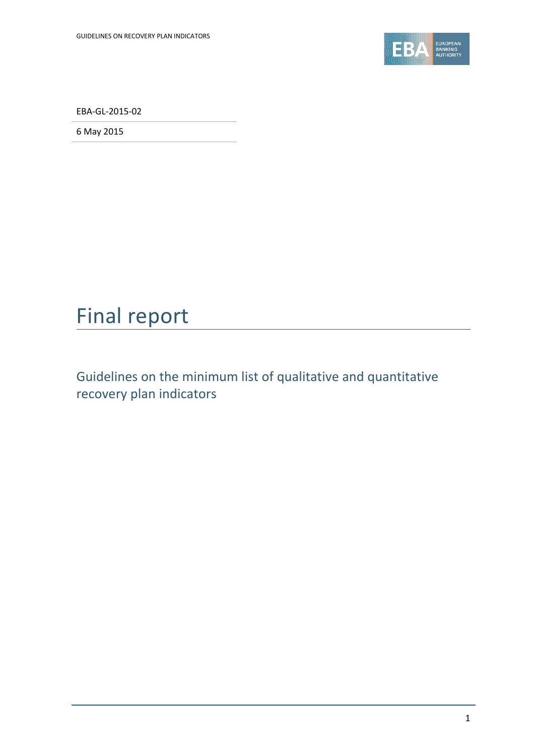

EBA-GL-2015-02

6 May 2015

# Final report

Guidelines on the minimum list of qualitative and quantitative recovery plan indicators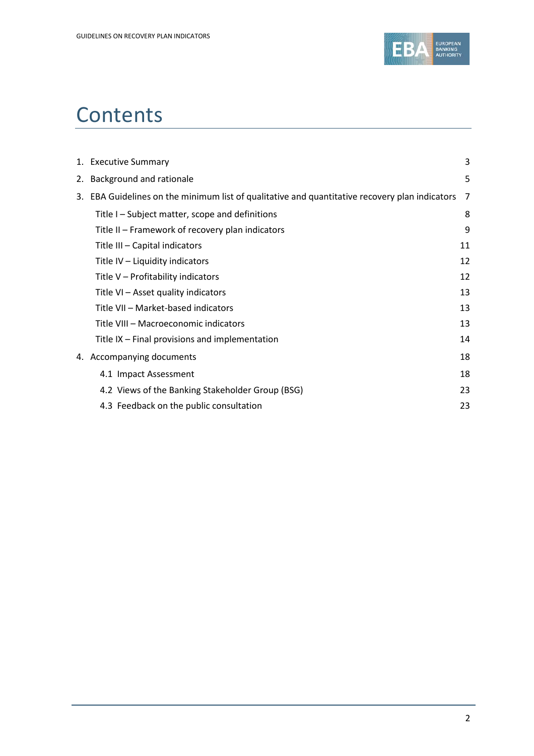

# **Contents**

| 1. Executive Summary                                                                           | 3  |  |
|------------------------------------------------------------------------------------------------|----|--|
| 2. Background and rationale                                                                    | 5  |  |
| 3. EBA Guidelines on the minimum list of qualitative and quantitative recovery plan indicators | 7  |  |
| Title I - Subject matter, scope and definitions                                                | 8  |  |
| Title II – Framework of recovery plan indicators                                               | 9  |  |
| Title III - Capital indicators                                                                 | 11 |  |
| Title IV - Liquidity indicators                                                                | 12 |  |
| Title V - Profitability indicators                                                             | 12 |  |
| Title VI - Asset quality indicators                                                            | 13 |  |
| Title VII - Market-based indicators                                                            | 13 |  |
| Title VIII - Macroeconomic indicators                                                          | 13 |  |
| Title IX - Final provisions and implementation                                                 | 14 |  |
| 4. Accompanying documents                                                                      | 18 |  |
| 4.1 Impact Assessment                                                                          | 18 |  |
| 4.2 Views of the Banking Stakeholder Group (BSG)                                               | 23 |  |
| 4.3 Feedback on the public consultation                                                        | 23 |  |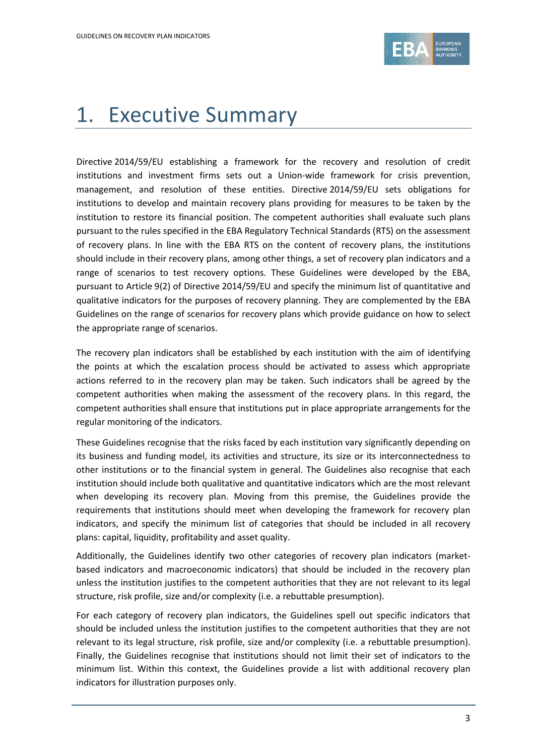

# 1. Executive Summary

Directive 2014/59/EU establishing a framework for the recovery and resolution of credit institutions and investment firms sets out a Union-wide framework for crisis prevention, management, and resolution of these entities. Directive 2014/59/EU sets obligations for institutions to develop and maintain recovery plans providing for measures to be taken by the institution to restore its financial position. The competent authorities shall evaluate such plans pursuant to the rules specified in the EBA Regulatory Technical Standards (RTS) on the assessment of recovery plans. In line with the EBA RTS on the content of recovery plans, the institutions should include in their recovery plans, among other things, a set of recovery plan indicators and a range of scenarios to test recovery options. These Guidelines were developed by the EBA, pursuant to Article 9(2) of Directive 2014/59/EU and specify the minimum list of quantitative and qualitative indicators for the purposes of recovery planning. They are complemented by the EBA Guidelines on the range of scenarios for recovery plans which provide guidance on how to select the appropriate range of scenarios.

The recovery plan indicators shall be established by each institution with the aim of identifying the points at which the escalation process should be activated to assess which appropriate actions referred to in the recovery plan may be taken. Such indicators shall be agreed by the competent authorities when making the assessment of the recovery plans. In this regard, the competent authorities shall ensure that institutions put in place appropriate arrangements for the regular monitoring of the indicators.

These Guidelines recognise that the risks faced by each institution vary significantly depending on its business and funding model, its activities and structure, its size or its interconnectedness to other institutions or to the financial system in general. The Guidelines also recognise that each institution should include both qualitative and quantitative indicators which are the most relevant when developing its recovery plan. Moving from this premise, the Guidelines provide the requirements that institutions should meet when developing the framework for recovery plan indicators, and specify the minimum list of categories that should be included in all recovery plans: capital, liquidity, profitability and asset quality.

Additionally, the Guidelines identify two other categories of recovery plan indicators (marketbased indicators and macroeconomic indicators) that should be included in the recovery plan unless the institution justifies to the competent authorities that they are not relevant to its legal structure, risk profile, size and/or complexity (i.e. a rebuttable presumption).

For each category of recovery plan indicators, the Guidelines spell out specific indicators that should be included unless the institution justifies to the competent authorities that they are not relevant to its legal structure, risk profile, size and/or complexity (i.e. a rebuttable presumption). Finally, the Guidelines recognise that institutions should not limit their set of indicators to the minimum list. Within this context, the Guidelines provide a list with additional recovery plan indicators for illustration purposes only.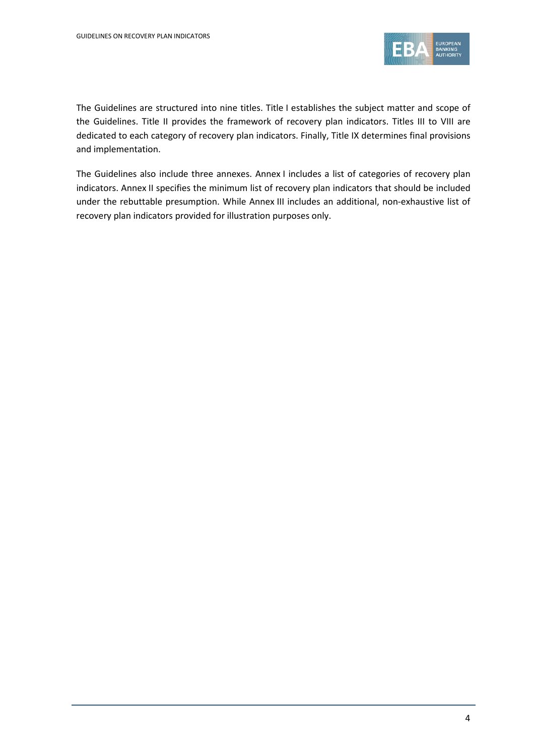

The Guidelines are structured into nine titles. Title I establishes the subject matter and scope of the Guidelines. Title II provides the framework of recovery plan indicators. Titles III to VIII are dedicated to each category of recovery plan indicators. Finally, Title IX determines final provisions and implementation.

The Guidelines also include three annexes. Annex I includes a list of categories of recovery plan indicators. Annex II specifies the minimum list of recovery plan indicators that should be included under the rebuttable presumption. While Annex III includes an additional, non-exhaustive list of recovery plan indicators provided for illustration purposes only.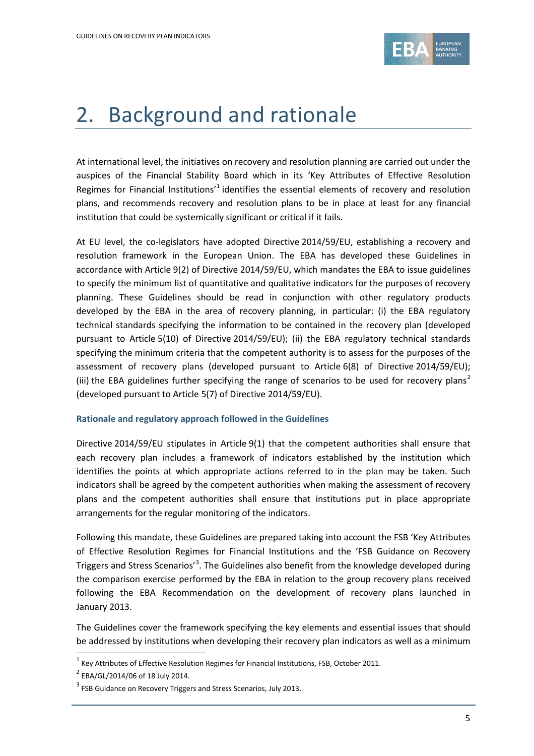

## 2. Background and rationale

At international level, the initiatives on recovery and resolution planning are carried out under the auspices of the Financial Stability Board which in its 'Key Attributes of Effective Resolution Regimes for Financial Institutions<sup>'[1](#page-4-0)</sup> identifies the essential elements of recovery and resolution plans, and recommends recovery and resolution plans to be in place at least for any financial institution that could be systemically significant or critical if it fails.

At EU level, the co-legislators have adopted Directive 2014/59/EU, establishing a recovery and resolution framework in the European Union. The EBA has developed these Guidelines in accordance with Article 9(2) of Directive 2014/59/EU, which mandates the EBA to issue guidelines to specify the minimum list of quantitative and qualitative indicators for the purposes of recovery planning. These Guidelines should be read in conjunction with other regulatory products developed by the EBA in the area of recovery planning, in particular: (i) the EBA regulatory technical standards specifying the information to be contained in the recovery plan (developed pursuant to Article 5(10) of Directive 2014/59/EU); (ii) the EBA regulatory technical standards specifying the minimum criteria that the competent authority is to assess for the purposes of the assessment of recovery plans (developed pursuant to Article 6(8) of Directive 2014/59/EU); (iii) the EBA guidelines further specifying the range of scenarios to be used for recovery plans<sup>[2](#page-4-1)</sup> (developed pursuant to Article 5(7) of Directive 2014/59/EU).

#### **Rationale and regulatory approach followed in the Guidelines**

Directive 2014/59/EU stipulates in Article 9(1) that the competent authorities shall ensure that each recovery plan includes a framework of indicators established by the institution which identifies the points at which appropriate actions referred to in the plan may be taken. Such indicators shall be agreed by the competent authorities when making the assessment of recovery plans and the competent authorities shall ensure that institutions put in place appropriate arrangements for the regular monitoring of the indicators.

Following this mandate, these Guidelines are prepared taking into account the FSB 'Key Attributes of Effective Resolution Regimes for Financial Institutions and the 'FSB Guidance on Recovery Triggers and Stress Scenarios<sup>,[3](#page-4-2)</sup>. The Guidelines also benefit from the knowledge developed during the comparison exercise performed by the EBA in relation to the group recovery plans received following the EBA Recommendation on the development of recovery plans launched in January 2013.

The Guidelines cover the framework specifying the key elements and essential issues that should be addressed by institutions when developing their recovery plan indicators as well as a minimum

<span id="page-4-0"></span> $1$  Key Attributes of Effective Resolution Regimes for Financial Institutions, FSB, October 2011.

<span id="page-4-1"></span><sup>2</sup> EBA/GL/2014/06 of 18 July 2014.

<span id="page-4-2"></span> $3$  FSB Guidance on Recovery Triggers and Stress Scenarios, July 2013.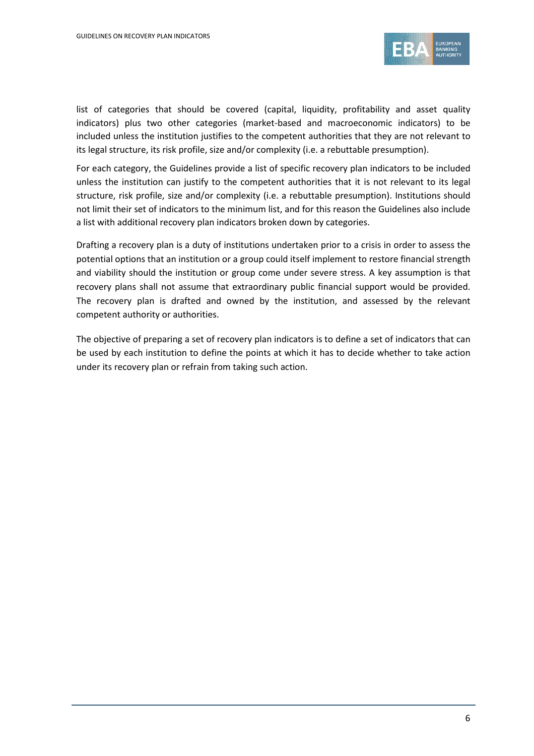

list of categories that should be covered (capital, liquidity, profitability and asset quality indicators) plus two other categories (market-based and macroeconomic indicators) to be included unless the institution justifies to the competent authorities that they are not relevant to its legal structure, its risk profile, size and/or complexity (i.e. a rebuttable presumption).

For each category, the Guidelines provide a list of specific recovery plan indicators to be included unless the institution can justify to the competent authorities that it is not relevant to its legal structure, risk profile, size and/or complexity (i.e. a rebuttable presumption). Institutions should not limit their set of indicators to the minimum list, and for this reason the Guidelines also include a list with additional recovery plan indicators broken down by categories.

Drafting a recovery plan is a duty of institutions undertaken prior to a crisis in order to assess the potential options that an institution or a group could itself implement to restore financial strength and viability should the institution or group come under severe stress. A key assumption is that recovery plans shall not assume that extraordinary public financial support would be provided. The recovery plan is drafted and owned by the institution, and assessed by the relevant competent authority or authorities.

The objective of preparing a set of recovery plan indicators is to define a set of indicators that can be used by each institution to define the points at which it has to decide whether to take action under its recovery plan or refrain from taking such action.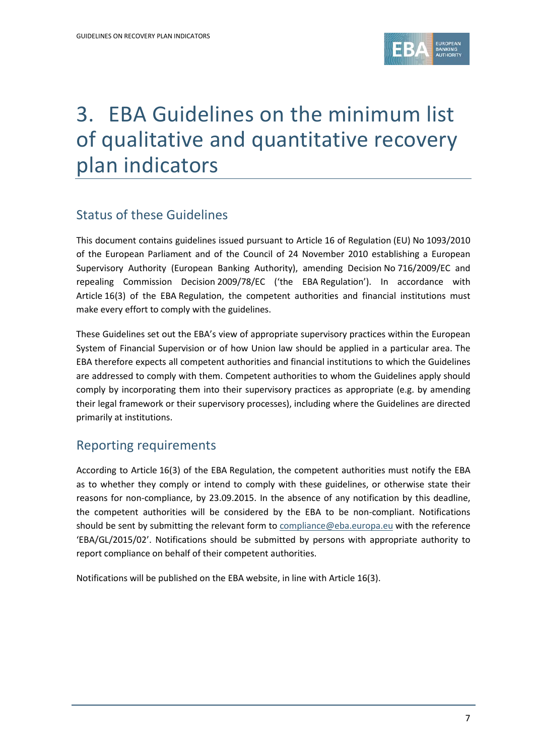

## 3. EBA Guidelines on the minimum list of qualitative and quantitative recovery plan indicators

## Status of these Guidelines

This document contains guidelines issued pursuant to Article 16 of Regulation (EU) No 1093/2010 of the European Parliament and of the Council of 24 November 2010 establishing a European Supervisory Authority (European Banking Authority), amending Decision No 716/2009/EC and repealing Commission Decision 2009/78/EC ('the EBA Regulation'). In accordance with Article 16(3) of the EBA Regulation, the competent authorities and financial institutions must make every effort to comply with the guidelines.

These Guidelines set out the EBA's view of appropriate supervisory practices within the European System of Financial Supervision or of how Union law should be applied in a particular area. The EBA therefore expects all competent authorities and financial institutions to which the Guidelines are addressed to comply with them. Competent authorities to whom the Guidelines apply should comply by incorporating them into their supervisory practices as appropriate (e.g. by amending their legal framework or their supervisory processes), including where the Guidelines are directed primarily at institutions.

## Reporting requirements

According to Article 16(3) of the EBA Regulation, the competent authorities must notify the EBA as to whether they comply or intend to comply with these guidelines, or otherwise state their reasons for non-compliance, by 23.09.2015. In the absence of any notification by this deadline, the competent authorities will be considered by the EBA to be non-compliant. Notifications should be sent by submitting the relevant form t[o compliance@eba.europa.eu](mailto:compliance@eba.europa.eu) with the reference 'EBA/GL/2015/02'. Notifications should be submitted by persons with appropriate authority to report compliance on behalf of their competent authorities.

Notifications will be published on the EBA website, in line with Article 16(3).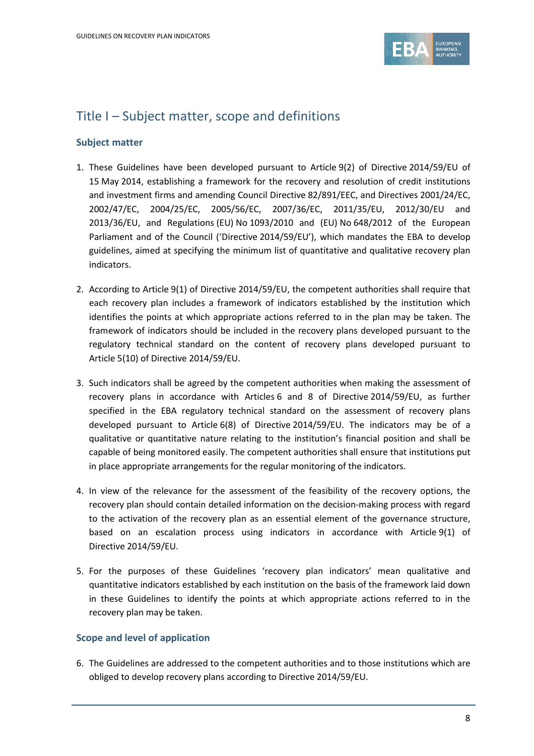

### Title I – Subject matter, scope and definitions

#### **Subject matter**

- 1. These Guidelines have been developed pursuant to Article 9(2) of Directive 2014/59/EU of 15 May 2014, establishing a framework for the recovery and resolution of credit institutions and investment firms and amending Council Directive 82/891/EEC, and Directives 2001/24/EC, 2002/47/EC, 2004/25/EC, 2005/56/EC, 2007/36/EC, 2011/35/EU, 2012/30/EU and 2013/36/EU, and Regulations (EU) No 1093/2010 and (EU) No 648/2012 of the European Parliament and of the Council ('Directive 2014/59/EU'), which mandates the EBA to develop guidelines, aimed at specifying the minimum list of quantitative and qualitative recovery plan indicators.
- 2. According to Article 9(1) of Directive 2014/59/EU, the competent authorities shall require that each recovery plan includes a framework of indicators established by the institution which identifies the points at which appropriate actions referred to in the plan may be taken. The framework of indicators should be included in the recovery plans developed pursuant to the regulatory technical standard on the content of recovery plans developed pursuant to Article 5(10) of Directive 2014/59/EU.
- 3. Such indicators shall be agreed by the competent authorities when making the assessment of recovery plans in accordance with Articles 6 and 8 of Directive 2014/59/EU, as further specified in the EBA regulatory technical standard on the assessment of recovery plans developed pursuant to Article 6(8) of Directive 2014/59/EU. The indicators may be of a qualitative or quantitative nature relating to the institution's financial position and shall be capable of being monitored easily. The competent authorities shall ensure that institutions put in place appropriate arrangements for the regular monitoring of the indicators.
- 4. In view of the relevance for the assessment of the feasibility of the recovery options, the recovery plan should contain detailed information on the decision-making process with regard to the activation of the recovery plan as an essential element of the governance structure, based on an escalation process using indicators in accordance with Article 9(1) of Directive 2014/59/EU.
- 5. For the purposes of these Guidelines 'recovery plan indicators' mean qualitative and quantitative indicators established by each institution on the basis of the framework laid down in these Guidelines to identify the points at which appropriate actions referred to in the recovery plan may be taken.

#### **Scope and level of application**

6. The Guidelines are addressed to the competent authorities and to those institutions which are obliged to develop recovery plans according to Directive 2014/59/EU.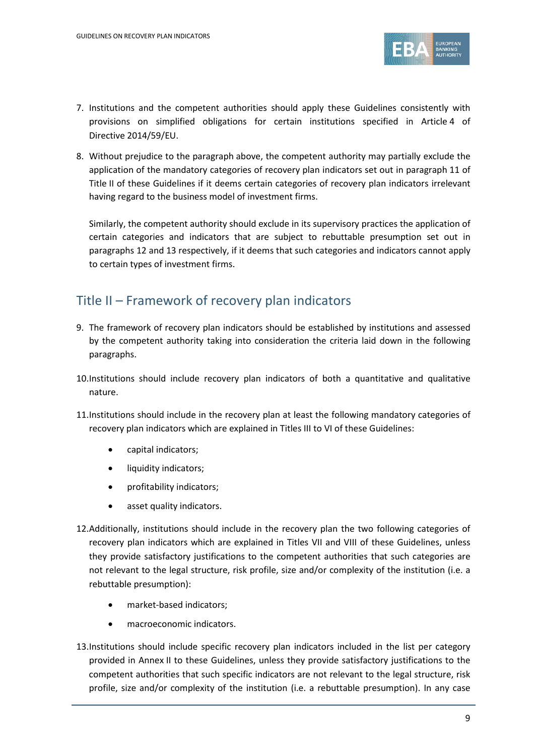

- 7. Institutions and the competent authorities should apply these Guidelines consistently with provisions on simplified obligations for certain institutions specified in Article 4 of Directive 2014/59/EU.
- 8. Without prejudice to the paragraph above, the competent authority may partially exclude the application of the mandatory categories of recovery plan indicators set out in paragraph 11 of Title II of these Guidelines if it deems certain categories of recovery plan indicators irrelevant having regard to the business model of investment firms.

Similarly, the competent authority should exclude in its supervisory practices the application of certain categories and indicators that are subject to rebuttable presumption set out in paragraphs 12 and 13 respectively, if it deems that such categories and indicators cannot apply to certain types of investment firms.

## Title II – Framework of recovery plan indicators

- 9. The framework of recovery plan indicators should be established by institutions and assessed by the competent authority taking into consideration the criteria laid down in the following paragraphs.
- 10.Institutions should include recovery plan indicators of both a quantitative and qualitative nature.
- 11.Institutions should include in the recovery plan at least the following mandatory categories of recovery plan indicators which are explained in Titles III to VI of these Guidelines:
	- capital indicators;
	- liquidity indicators;
	- profitability indicators;
	- asset quality indicators.
- 12.Additionally, institutions should include in the recovery plan the two following categories of recovery plan indicators which are explained in Titles VII and VIII of these Guidelines, unless they provide satisfactory justifications to the competent authorities that such categories are not relevant to the legal structure, risk profile, size and/or complexity of the institution (i.e. a rebuttable presumption):
	- market-based indicators;
	- macroeconomic indicators.
- 13.Institutions should include specific recovery plan indicators included in the list per category provided in Annex II to these Guidelines, unless they provide satisfactory justifications to the competent authorities that such specific indicators are not relevant to the legal structure, risk profile, size and/or complexity of the institution (i.e. a rebuttable presumption). In any case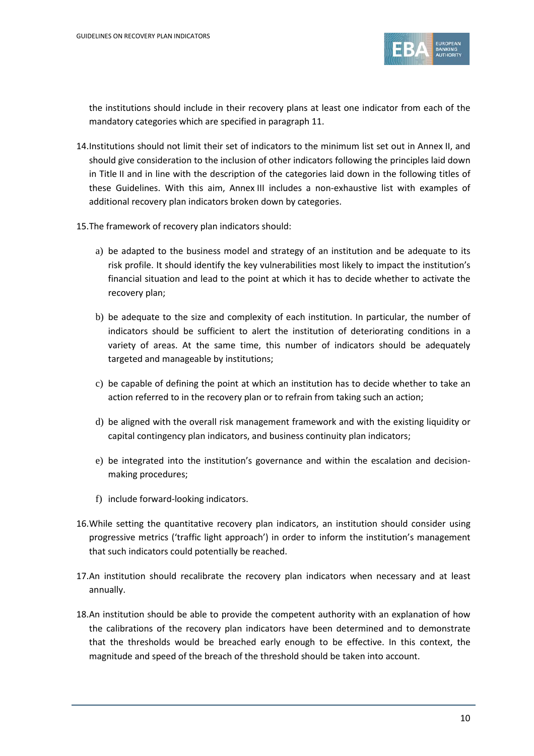

the institutions should include in their recovery plans at least one indicator from each of the mandatory categories which are specified in paragraph 11.

- 14.Institutions should not limit their set of indicators to the minimum list set out in Annex II, and should give consideration to the inclusion of other indicators following the principles laid down in Title II and in line with the description of the categories laid down in the following titles of these Guidelines. With this aim, Annex III includes a non-exhaustive list with examples of additional recovery plan indicators broken down by categories.
- 15.The framework of recovery plan indicators should:
	- a) be adapted to the business model and strategy of an institution and be adequate to its risk profile. It should identify the key vulnerabilities most likely to impact the institution's financial situation and lead to the point at which it has to decide whether to activate the recovery plan;
	- b) be adequate to the size and complexity of each institution. In particular, the number of indicators should be sufficient to alert the institution of deteriorating conditions in a variety of areas. At the same time, this number of indicators should be adequately targeted and manageable by institutions;
	- c) be capable of defining the point at which an institution has to decide whether to take an action referred to in the recovery plan or to refrain from taking such an action;
	- d) be aligned with the overall risk management framework and with the existing liquidity or capital contingency plan indicators, and business continuity plan indicators;
	- e) be integrated into the institution's governance and within the escalation and decisionmaking procedures;
	- f) include forward-looking indicators.
- 16.While setting the quantitative recovery plan indicators, an institution should consider using progressive metrics ('traffic light approach') in order to inform the institution's management that such indicators could potentially be reached.
- 17.An institution should recalibrate the recovery plan indicators when necessary and at least annually.
- 18.An institution should be able to provide the competent authority with an explanation of how the calibrations of the recovery plan indicators have been determined and to demonstrate that the thresholds would be breached early enough to be effective. In this context, the magnitude and speed of the breach of the threshold should be taken into account.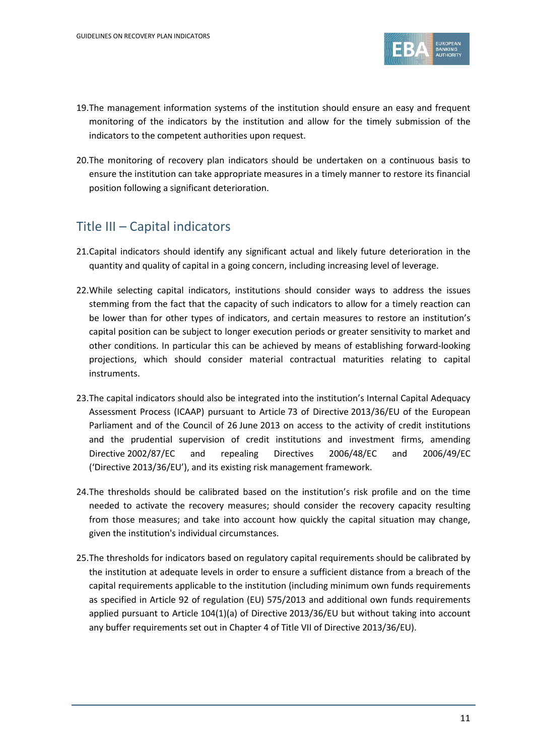

- 19.The management information systems of the institution should ensure an easy and frequent monitoring of the indicators by the institution and allow for the timely submission of the indicators to the competent authorities upon request.
- 20.The monitoring of recovery plan indicators should be undertaken on a continuous basis to ensure the institution can take appropriate measures in a timely manner to restore its financial position following a significant deterioration.

## Title III – Capital indicators

- 21.Capital indicators should identify any significant actual and likely future deterioration in the quantity and quality of capital in a going concern, including increasing level of leverage.
- 22.While selecting capital indicators, institutions should consider ways to address the issues stemming from the fact that the capacity of such indicators to allow for a timely reaction can be lower than for other types of indicators, and certain measures to restore an institution's capital position can be subject to longer execution periods or greater sensitivity to market and other conditions. In particular this can be achieved by means of establishing forward-looking projections, which should consider material contractual maturities relating to capital instruments.
- 23.The capital indicators should also be integrated into the institution's Internal Capital Adequacy Assessment Process (ICAAP) pursuant to Article 73 of Directive 2013/36/EU of the European Parliament and of the Council of 26 June 2013 on access to the activity of credit institutions and the prudential supervision of credit institutions and investment firms, amending Directive 2002/87/EC and repealing Directives 2006/48/EC and 2006/49/EC ('Directive 2013/36/EU'), and its existing risk management framework.
- 24.The thresholds should be calibrated based on the institution's risk profile and on the time needed to activate the recovery measures; should consider the recovery capacity resulting from those measures; and take into account how quickly the capital situation may change, given the institution's individual circumstances.
- 25.The thresholds for indicators based on regulatory capital requirements should be calibrated by the institution at adequate levels in order to ensure a sufficient distance from a breach of the capital requirements applicable to the institution (including minimum own funds requirements as specified in Article 92 of regulation (EU) 575/2013 and additional own funds requirements applied pursuant to Article 104(1)(a) of Directive 2013/36/EU but without taking into account any buffer requirements set out in Chapter 4 of Title VII of Directive 2013/36/EU).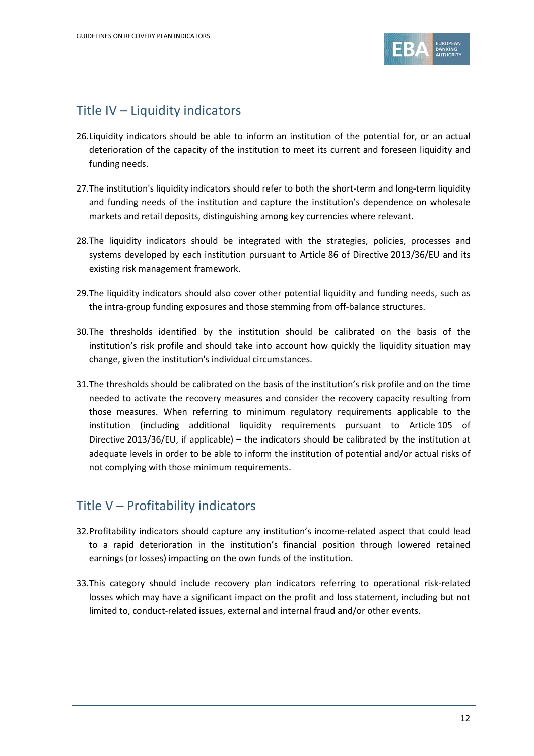

## Title IV – Liquidity indicators

- 26.Liquidity indicators should be able to inform an institution of the potential for, or an actual deterioration of the capacity of the institution to meet its current and foreseen liquidity and funding needs.
- 27.The institution's liquidity indicators should refer to both the short-term and long-term liquidity and funding needs of the institution and capture the institution's dependence on wholesale markets and retail deposits, distinguishing among key currencies where relevant.
- 28.The liquidity indicators should be integrated with the strategies, policies, processes and systems developed by each institution pursuant to Article 86 of Directive 2013/36/EU and its existing risk management framework.
- 29.The liquidity indicators should also cover other potential liquidity and funding needs, such as the intra-group funding exposures and those stemming from off-balance structures.
- 30.The thresholds identified by the institution should be calibrated on the basis of the institution's risk profile and should take into account how quickly the liquidity situation may change, given the institution's individual circumstances.
- 31.The thresholds should be calibrated on the basis of the institution's risk profile and on the time needed to activate the recovery measures and consider the recovery capacity resulting from those measures. When referring to minimum regulatory requirements applicable to the institution (including additional liquidity requirements pursuant to Article 105 of Directive 2013/36/EU, if applicable) – the indicators should be calibrated by the institution at adequate levels in order to be able to inform the institution of potential and/or actual risks of not complying with those minimum requirements.

## Title V – Profitability indicators

- 32.Profitability indicators should capture any institution's income-related aspect that could lead to a rapid deterioration in the institution's financial position through lowered retained earnings (or losses) impacting on the own funds of the institution.
- 33.This category should include recovery plan indicators referring to operational risk-related losses which may have a significant impact on the profit and loss statement, including but not limited to, conduct-related issues, external and internal fraud and/or other events.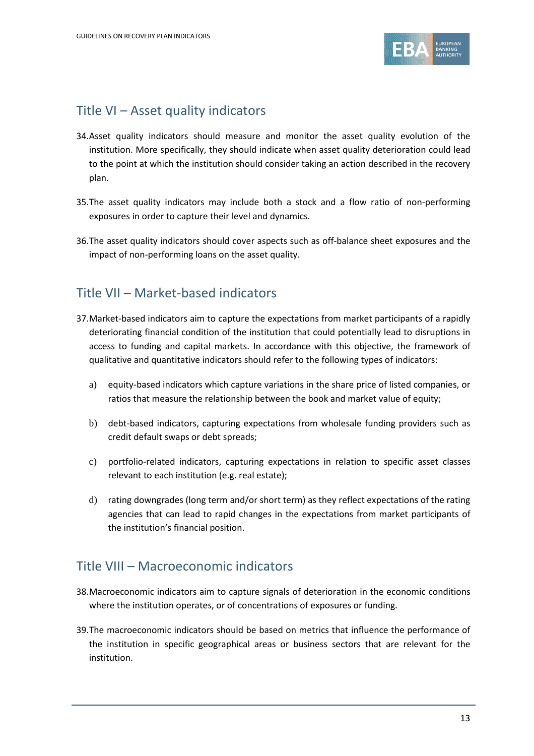

## Title VI – Asset quality indicators

- 34.Asset quality indicators should measure and monitor the asset quality evolution of the institution. More specifically, they should indicate when asset quality deterioration could lead to the point at which the institution should consider taking an action described in the recovery plan.
- 35.The asset quality indicators may include both a stock and a flow ratio of non-performing exposures in order to capture their level and dynamics.
- 36.The asset quality indicators should cover aspects such as off-balance sheet exposures and the impact of non-performing loans on the asset quality.

## Title VII – Market-based indicators

- 37.Market-based indicators aim to capture the expectations from market participants of a rapidly deteriorating financial condition of the institution that could potentially lead to disruptions in access to funding and capital markets. In accordance with this objective, the framework of qualitative and quantitative indicators should refer to the following types of indicators:
	- a) equity-based indicators which capture variations in the share price of listed companies, or ratios that measure the relationship between the book and market value of equity;
	- b) debt-based indicators, capturing expectations from wholesale funding providers such as credit default swaps or debt spreads;
	- c) portfolio-related indicators, capturing expectations in relation to specific asset classes relevant to each institution (e.g. real estate);
	- d) rating downgrades (long term and/or short term) as they reflect expectations of the rating agencies that can lead to rapid changes in the expectations from market participants of the institution's financial position.

### Title VIII – Macroeconomic indicators

- 38.Macroeconomic indicators aim to capture signals of deterioration in the economic conditions where the institution operates, or of concentrations of exposures or funding.
- 39.The macroeconomic indicators should be based on metrics that influence the performance of the institution in specific geographical areas or business sectors that are relevant for the institution.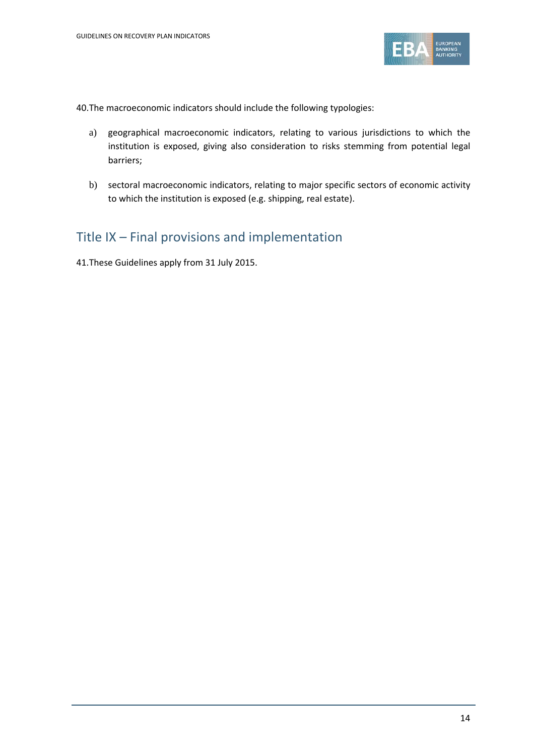

40.The macroeconomic indicators should include the following typologies:

- a) geographical macroeconomic indicators, relating to various jurisdictions to which the institution is exposed, giving also consideration to risks stemming from potential legal barriers;
- b) sectoral macroeconomic indicators, relating to major specific sectors of economic activity to which the institution is exposed (e.g. shipping, real estate).

## Title IX – Final provisions and implementation

41.These Guidelines apply from 31 July 2015.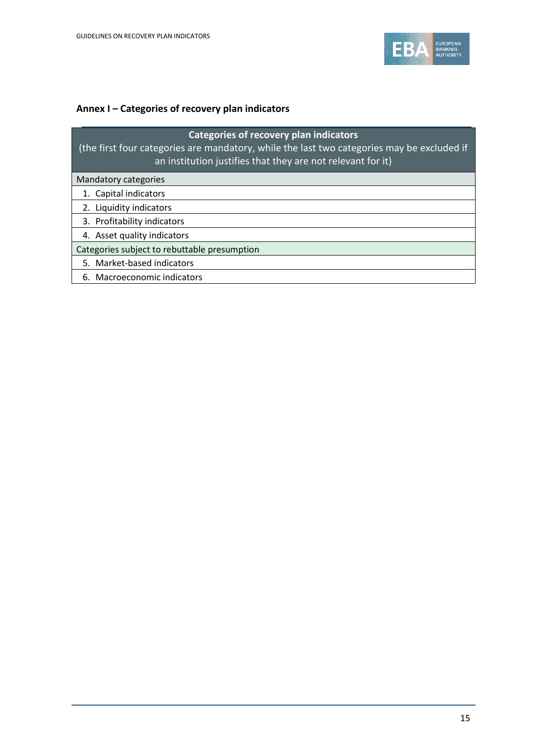

### **Annex I – Categories of recovery plan indicators**

| <b>Categories of recovery plan indicators</b><br>(the first four categories are mandatory, while the last two categories may be excluded if<br>an institution justifies that they are not relevant for it) |  |  |  |  |
|------------------------------------------------------------------------------------------------------------------------------------------------------------------------------------------------------------|--|--|--|--|
| Mandatory categories                                                                                                                                                                                       |  |  |  |  |
| 1. Capital indicators                                                                                                                                                                                      |  |  |  |  |
| 2. Liquidity indicators                                                                                                                                                                                    |  |  |  |  |
| 3. Profitability indicators                                                                                                                                                                                |  |  |  |  |
| 4. Asset quality indicators                                                                                                                                                                                |  |  |  |  |
| Categories subject to rebuttable presumption                                                                                                                                                               |  |  |  |  |
| 5. Market-based indicators                                                                                                                                                                                 |  |  |  |  |
| 6. Macroeconomic indicators                                                                                                                                                                                |  |  |  |  |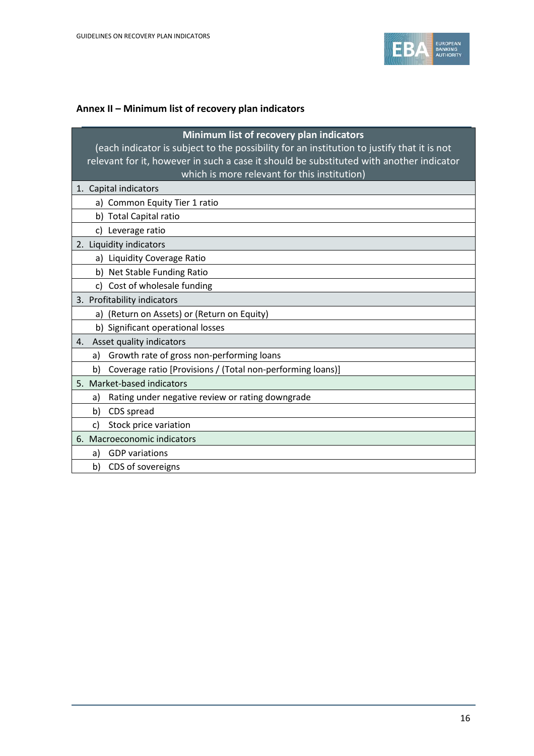

### **Annex II – Minimum list of recovery plan indicators**

| Minimum list of recovery plan indicators<br>(each indicator is subject to the possibility for an institution to justify that it is not<br>relevant for it, however in such a case it should be substituted with another indicator<br>which is more relevant for this institution) |
|-----------------------------------------------------------------------------------------------------------------------------------------------------------------------------------------------------------------------------------------------------------------------------------|
| 1. Capital indicators                                                                                                                                                                                                                                                             |
| a) Common Equity Tier 1 ratio                                                                                                                                                                                                                                                     |
| b) Total Capital ratio                                                                                                                                                                                                                                                            |
| c) Leverage ratio                                                                                                                                                                                                                                                                 |
| 2. Liquidity indicators                                                                                                                                                                                                                                                           |
| a) Liquidity Coverage Ratio                                                                                                                                                                                                                                                       |
| b) Net Stable Funding Ratio                                                                                                                                                                                                                                                       |
| c) Cost of wholesale funding                                                                                                                                                                                                                                                      |
| 3. Profitability indicators                                                                                                                                                                                                                                                       |
| (Return on Assets) or (Return on Equity)<br>a)                                                                                                                                                                                                                                    |
| b) Significant operational losses                                                                                                                                                                                                                                                 |
| Asset quality indicators<br>4.                                                                                                                                                                                                                                                    |
| Growth rate of gross non-performing loans<br>a)                                                                                                                                                                                                                                   |
| Coverage ratio [Provisions / (Total non-performing loans)]<br>b)                                                                                                                                                                                                                  |
| 5. Market-based indicators                                                                                                                                                                                                                                                        |
| Rating under negative review or rating downgrade<br>a)                                                                                                                                                                                                                            |
| CDS spread<br>b)                                                                                                                                                                                                                                                                  |
| Stock price variation<br>c)                                                                                                                                                                                                                                                       |
| 6. Macroeconomic indicators                                                                                                                                                                                                                                                       |
| <b>GDP</b> variations<br>a)                                                                                                                                                                                                                                                       |
| CDS of sovereigns<br>b)                                                                                                                                                                                                                                                           |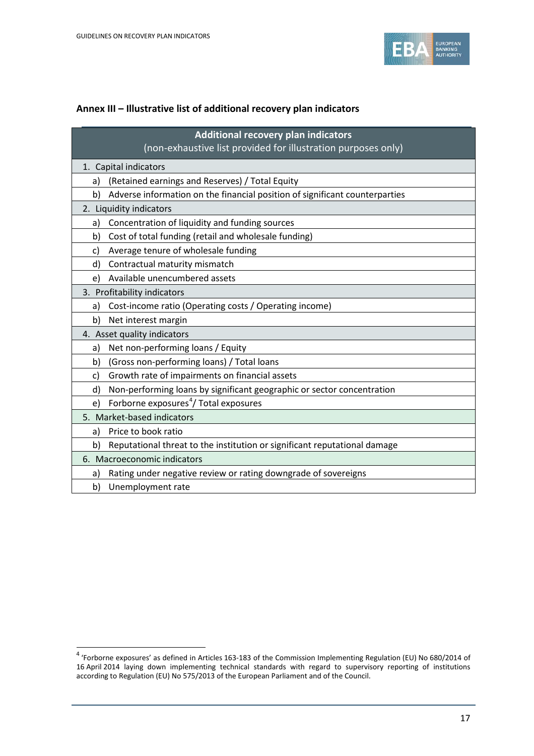$\overline{a}$ 



#### **Annex III – Illustrative list of additional recovery plan indicators**

| Additional recovery plan indicators<br>(non-exhaustive list provided for illustration purposes only) |  |  |  |  |
|------------------------------------------------------------------------------------------------------|--|--|--|--|
| 1. Capital indicators                                                                                |  |  |  |  |
| (Retained earnings and Reserves) / Total Equity<br>a)                                                |  |  |  |  |
| Adverse information on the financial position of significant counterparties<br>b)                    |  |  |  |  |
| 2. Liquidity indicators                                                                              |  |  |  |  |
| Concentration of liquidity and funding sources<br>a)                                                 |  |  |  |  |
| Cost of total funding (retail and wholesale funding)<br>b)                                           |  |  |  |  |
| Average tenure of wholesale funding<br>c)                                                            |  |  |  |  |
| Contractual maturity mismatch<br>d)                                                                  |  |  |  |  |
| Available unencumbered assets<br>e)                                                                  |  |  |  |  |
| 3. Profitability indicators                                                                          |  |  |  |  |
| Cost-income ratio (Operating costs / Operating income)<br>a)                                         |  |  |  |  |
| Net interest margin<br>b)                                                                            |  |  |  |  |
| 4. Asset quality indicators                                                                          |  |  |  |  |
| Net non-performing loans / Equity<br>a)                                                              |  |  |  |  |
| (Gross non-performing loans) / Total loans<br>b)                                                     |  |  |  |  |
| Growth rate of impairments on financial assets<br>C)                                                 |  |  |  |  |
| Non-performing loans by significant geographic or sector concentration<br>d)                         |  |  |  |  |
| Forborne exposures <sup>4</sup> / Total exposures<br>e)                                              |  |  |  |  |
| 5. Market-based indicators                                                                           |  |  |  |  |
| Price to book ratio<br>a)                                                                            |  |  |  |  |
| Reputational threat to the institution or significant reputational damage<br>b)                      |  |  |  |  |
| 6. Macroeconomic indicators                                                                          |  |  |  |  |
| Rating under negative review or rating downgrade of sovereigns<br>a)                                 |  |  |  |  |
| Unemployment rate<br>b)                                                                              |  |  |  |  |

<span id="page-16-0"></span><sup>4</sup> 'Forborne exposures' as defined in Articles 163-183 of the Commission Implementing Regulation (EU) No 680/2014 of 16 April 2014 laying down implementing technical standards with regard to supervisory reporting of institutions according to Regulation (EU) No 575/2013 of the European Parliament and of the Council.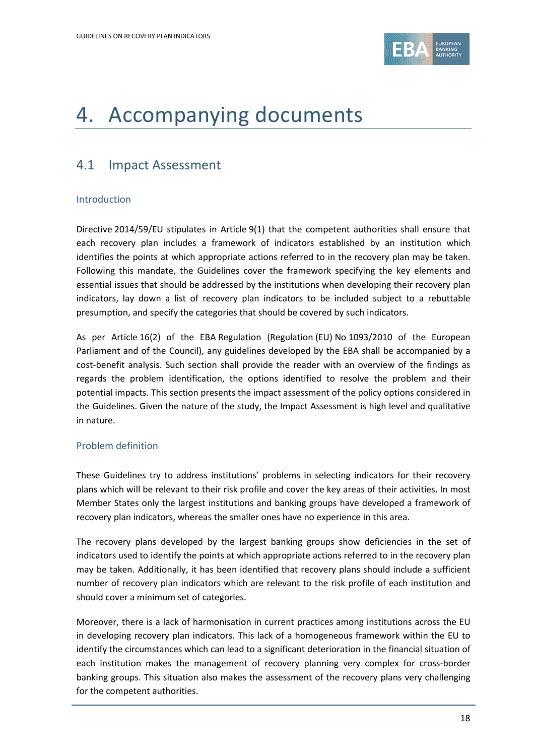

## 4. Accompanying documents

## 4.1 Impact Assessment

#### Introduction

Directive 2014/59/EU stipulates in Article 9(1) that the competent authorities shall ensure that each recovery plan includes a framework of indicators established by an institution which identifies the points at which appropriate actions referred to in the recovery plan may be taken. Following this mandate, the Guidelines cover the framework specifying the key elements and essential issues that should be addressed by the institutions when developing their recovery plan indicators, lay down a list of recovery plan indicators to be included subject to a rebuttable presumption, and specify the categories that should be covered by such indicators.

As per Article 16(2) of the EBA Regulation (Regulation (EU) No 1093/2010 of the European Parliament and of the Council), any guidelines developed by the EBA shall be accompanied by a cost-benefit analysis. Such section shall provide the reader with an overview of the findings as regards the problem identification, the options identified to resolve the problem and their potential impacts. This section presents the impact assessment of the policy options considered in the Guidelines. Given the nature of the study, the Impact Assessment is high level and qualitative in nature.

#### Problem definition

These Guidelines try to address institutions' problems in selecting indicators for their recovery plans which will be relevant to their risk profile and cover the key areas of their activities. In most Member States only the largest institutions and banking groups have developed a framework of recovery plan indicators, whereas the smaller ones have no experience in this area.

The recovery plans developed by the largest banking groups show deficiencies in the set of indicators used to identify the points at which appropriate actions referred to in the recovery plan may be taken. Additionally, it has been identified that recovery plans should include a sufficient number of recovery plan indicators which are relevant to the risk profile of each institution and should cover a minimum set of categories.

Moreover, there is a lack of harmonisation in current practices among institutions across the EU in developing recovery plan indicators. This lack of a homogeneous framework within the EU to identify the circumstances which can lead to a significant deterioration in the financial situation of each institution makes the management of recovery planning very complex for cross-border banking groups. This situation also makes the assessment of the recovery plans very challenging for the competent authorities.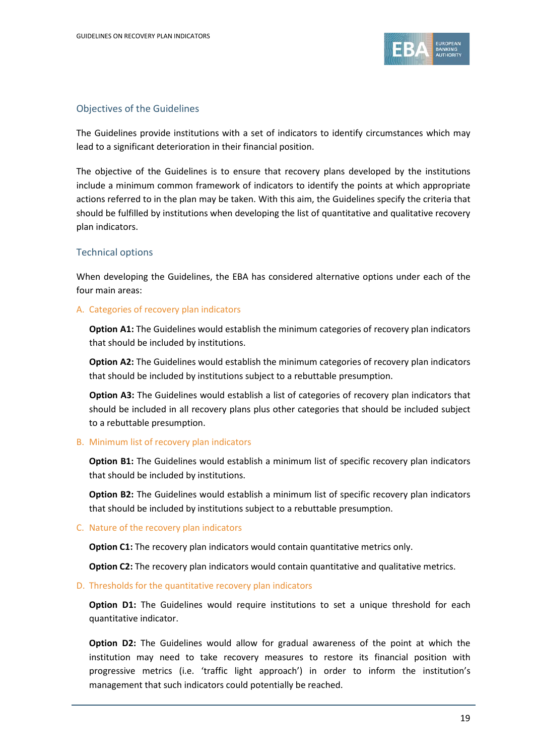

#### Objectives of the Guidelines

The Guidelines provide institutions with a set of indicators to identify circumstances which may lead to a significant deterioration in their financial position.

The objective of the Guidelines is to ensure that recovery plans developed by the institutions include a minimum common framework of indicators to identify the points at which appropriate actions referred to in the plan may be taken. With this aim, the Guidelines specify the criteria that should be fulfilled by institutions when developing the list of quantitative and qualitative recovery plan indicators.

#### Technical options

When developing the Guidelines, the EBA has considered alternative options under each of the four main areas:

#### A. Categories of recovery plan indicators

**Option A1:** The Guidelines would establish the minimum categories of recovery plan indicators that should be included by institutions.

**Option A2:** The Guidelines would establish the minimum categories of recovery plan indicators that should be included by institutions subject to a rebuttable presumption.

**Option A3:** The Guidelines would establish a list of categories of recovery plan indicators that should be included in all recovery plans plus other categories that should be included subject to a rebuttable presumption.

#### B. Minimum list of recovery plan indicators

**Option B1:** The Guidelines would establish a minimum list of specific recovery plan indicators that should be included by institutions.

**Option B2:** The Guidelines would establish a minimum list of specific recovery plan indicators that should be included by institutions subject to a rebuttable presumption.

#### C. Nature of the recovery plan indicators

**Option C1:** The recovery plan indicators would contain quantitative metrics only.

**Option C2:** The recovery plan indicators would contain quantitative and qualitative metrics.

#### D. Thresholds for the quantitative recovery plan indicators

**Option D1:** The Guidelines would require institutions to set a unique threshold for each quantitative indicator.

**Option D2:** The Guidelines would allow for gradual awareness of the point at which the institution may need to take recovery measures to restore its financial position with progressive metrics (i.e. 'traffic light approach') in order to inform the institution's management that such indicators could potentially be reached.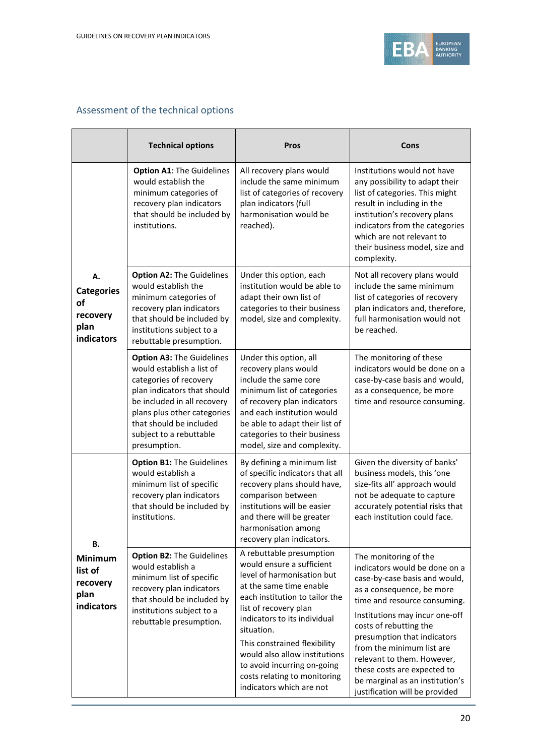

### Assessment of the technical options

|                                                                 | <b>Technical options</b>                                                                                                                                                                                                                                   | Pros                                                                                                                                                                                                                                                                                                                                                                                | Cons                                                                                                                                                                                                                                                                                                                                                                                                           |
|-----------------------------------------------------------------|------------------------------------------------------------------------------------------------------------------------------------------------------------------------------------------------------------------------------------------------------------|-------------------------------------------------------------------------------------------------------------------------------------------------------------------------------------------------------------------------------------------------------------------------------------------------------------------------------------------------------------------------------------|----------------------------------------------------------------------------------------------------------------------------------------------------------------------------------------------------------------------------------------------------------------------------------------------------------------------------------------------------------------------------------------------------------------|
|                                                                 | <b>Option A1: The Guidelines</b><br>would establish the<br>minimum categories of<br>recovery plan indicators<br>that should be included by<br>institutions.                                                                                                | All recovery plans would<br>include the same minimum<br>list of categories of recovery<br>plan indicators (full<br>harmonisation would be<br>reached).                                                                                                                                                                                                                              | Institutions would not have<br>any possibility to adapt their<br>list of categories. This might<br>result in including in the<br>institution's recovery plans<br>indicators from the categories<br>which are not relevant to<br>their business model, size and<br>complexity.                                                                                                                                  |
| А.<br><b>Categories</b><br>οf<br>recovery<br>plan<br>indicators | <b>Option A2: The Guidelines</b><br>would establish the<br>minimum categories of<br>recovery plan indicators<br>that should be included by<br>institutions subject to a<br>rebuttable presumption.                                                         | Under this option, each<br>institution would be able to<br>adapt their own list of<br>categories to their business<br>model, size and complexity.                                                                                                                                                                                                                                   | Not all recovery plans would<br>include the same minimum<br>list of categories of recovery<br>plan indicators and, therefore,<br>full harmonisation would not<br>be reached.                                                                                                                                                                                                                                   |
|                                                                 | <b>Option A3: The Guidelines</b><br>would establish a list of<br>categories of recovery<br>plan indicators that should<br>be included in all recovery<br>plans plus other categories<br>that should be included<br>subject to a rebuttable<br>presumption. | Under this option, all<br>recovery plans would<br>include the same core<br>minimum list of categories<br>of recovery plan indicators<br>and each institution would<br>be able to adapt their list of<br>categories to their business<br>model, size and complexity.                                                                                                                 | The monitoring of these<br>indicators would be done on a<br>case-by-case basis and would,<br>as a consequence, be more<br>time and resource consuming.                                                                                                                                                                                                                                                         |
| В.                                                              | <b>Option B1: The Guidelines</b><br>would establish a<br>minimum list of specific<br>recovery plan indicators<br>that should be included by<br>institutions.                                                                                               | By defining a minimum list<br>of specific indicators that all<br>recovery plans should have,<br>comparison between<br>institutions will be easier<br>and there will be greater<br>harmonisation among<br>recovery plan indicators.                                                                                                                                                  | Given the diversity of banks'<br>business models, this 'one<br>size-fits all' approach would<br>not be adequate to capture<br>accurately potential risks that<br>each institution could face.                                                                                                                                                                                                                  |
| <b>Minimum</b><br>list of<br>recovery<br>plan<br>indicators     | <b>Option B2: The Guidelines</b><br>would establish a<br>minimum list of specific<br>recovery plan indicators<br>that should be included by<br>institutions subject to a<br>rebuttable presumption.                                                        | A rebuttable presumption<br>would ensure a sufficient<br>level of harmonisation but<br>at the same time enable<br>each institution to tailor the<br>list of recovery plan<br>indicators to its individual<br>situation.<br>This constrained flexibility<br>would also allow institutions<br>to avoid incurring on-going<br>costs relating to monitoring<br>indicators which are not | The monitoring of the<br>indicators would be done on a<br>case-by-case basis and would,<br>as a consequence, be more<br>time and resource consuming.<br>Institutions may incur one-off<br>costs of rebutting the<br>presumption that indicators<br>from the minimum list are<br>relevant to them. However,<br>these costs are expected to<br>be marginal as an institution's<br>justification will be provided |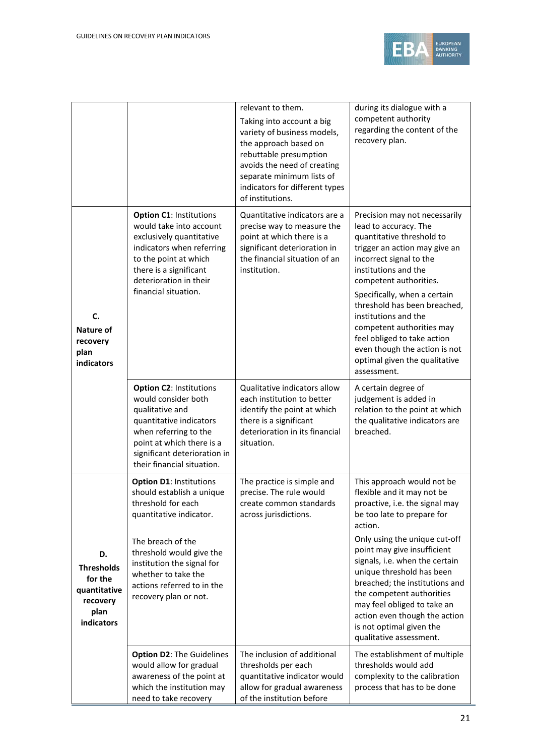

|                                                                                      |                                                                                                                                                                                                                                                                           | relevant to them.<br>Taking into account a big<br>variety of business models,<br>the approach based on<br>rebuttable presumption<br>avoids the need of creating<br>separate minimum lists of<br>indicators for different types<br>of institutions. | during its dialogue with a<br>competent authority<br>regarding the content of the<br>recovery plan.                                                                                                                                                                                                                                                                                                                                    |
|--------------------------------------------------------------------------------------|---------------------------------------------------------------------------------------------------------------------------------------------------------------------------------------------------------------------------------------------------------------------------|----------------------------------------------------------------------------------------------------------------------------------------------------------------------------------------------------------------------------------------------------|----------------------------------------------------------------------------------------------------------------------------------------------------------------------------------------------------------------------------------------------------------------------------------------------------------------------------------------------------------------------------------------------------------------------------------------|
| C.<br>Nature of<br>recovery<br>plan<br>indicators                                    | <b>Option C1: Institutions</b><br>would take into account<br>exclusively quantitative<br>indicators when referring<br>to the point at which<br>there is a significant<br>deterioration in their<br>financial situation.                                                   | Quantitative indicators are a<br>precise way to measure the<br>point at which there is a<br>significant deterioration in<br>the financial situation of an<br>institution.                                                                          | Precision may not necessarily<br>lead to accuracy. The<br>quantitative threshold to<br>trigger an action may give an<br>incorrect signal to the<br>institutions and the<br>competent authorities.<br>Specifically, when a certain<br>threshold has been breached,<br>institutions and the<br>competent authorities may<br>feel obliged to take action<br>even though the action is not<br>optimal given the qualitative<br>assessment. |
|                                                                                      | <b>Option C2: Institutions</b><br>would consider both<br>qualitative and<br>quantitative indicators<br>when referring to the<br>point at which there is a<br>significant deterioration in<br>their financial situation.                                                   | Qualitative indicators allow<br>each institution to better<br>identify the point at which<br>there is a significant<br>deterioration in its financial<br>situation.                                                                                | A certain degree of<br>judgement is added in<br>relation to the point at which<br>the qualitative indicators are<br>breached.                                                                                                                                                                                                                                                                                                          |
| D.<br><b>Thresholds</b><br>for the<br>quantitative<br>recovery<br>plan<br>indicators | <b>Option D1: Institutions</b><br>should establish a unique<br>threshold for each<br>quantitative indicator.<br>The breach of the<br>threshold would give the<br>institution the signal for<br>whether to take the<br>actions referred to in the<br>recovery plan or not. | The practice is simple and<br>precise. The rule would<br>create common standards<br>across jurisdictions.                                                                                                                                          | This approach would not be<br>flexible and it may not be<br>proactive, i.e. the signal may<br>be too late to prepare for<br>action.<br>Only using the unique cut-off<br>point may give insufficient<br>signals, i.e. when the certain<br>unique threshold has been<br>breached; the institutions and<br>the competent authorities<br>may feel obliged to take an<br>action even though the action<br>is not optimal given the          |
|                                                                                      | <b>Option D2: The Guidelines</b><br>would allow for gradual<br>awareness of the point at<br>which the institution may<br>need to take recovery                                                                                                                            | The inclusion of additional<br>thresholds per each<br>quantitative indicator would<br>allow for gradual awareness<br>of the institution before                                                                                                     | qualitative assessment.<br>The establishment of multiple<br>thresholds would add<br>complexity to the calibration<br>process that has to be done                                                                                                                                                                                                                                                                                       |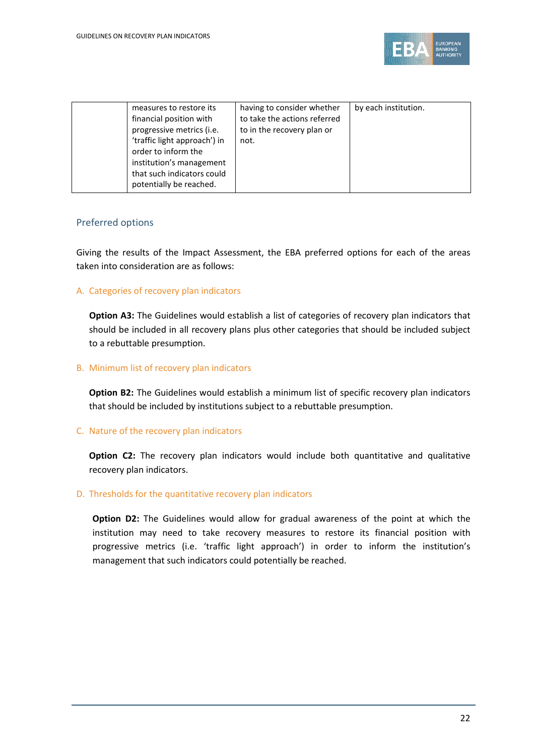

| measures to restore its<br>financial position with<br>progressive metrics (i.e.<br>'traffic light approach') in<br>order to inform the<br>institution's management<br>that such indicators could<br>potentially be reached. | having to consider whether<br>to take the actions referred<br>to in the recovery plan or<br>not. | by each institution. |
|-----------------------------------------------------------------------------------------------------------------------------------------------------------------------------------------------------------------------------|--------------------------------------------------------------------------------------------------|----------------------|
|-----------------------------------------------------------------------------------------------------------------------------------------------------------------------------------------------------------------------------|--------------------------------------------------------------------------------------------------|----------------------|

#### Preferred options

Giving the results of the Impact Assessment, the EBA preferred options for each of the areas taken into consideration are as follows:

A. Categories of recovery plan indicators

**Option A3:** The Guidelines would establish a list of categories of recovery plan indicators that should be included in all recovery plans plus other categories that should be included subject to a rebuttable presumption.

#### B. Minimum list of recovery plan indicators

**Option B2:** The Guidelines would establish a minimum list of specific recovery plan indicators that should be included by institutions subject to a rebuttable presumption.

#### C. Nature of the recovery plan indicators

**Option C2:** The recovery plan indicators would include both quantitative and qualitative recovery plan indicators.

#### D. Thresholds for the quantitative recovery plan indicators

**Option D2:** The Guidelines would allow for gradual awareness of the point at which the institution may need to take recovery measures to restore its financial position with progressive metrics (i.e. 'traffic light approach') in order to inform the institution's management that such indicators could potentially be reached.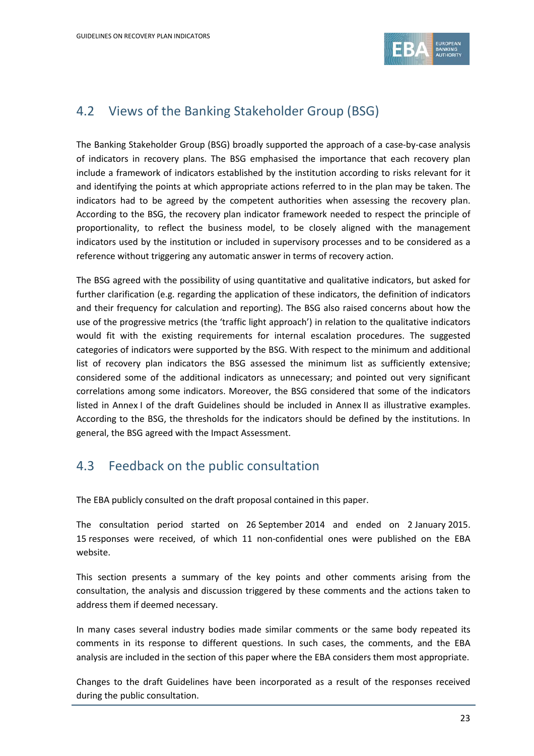

## 4.2 Views of the Banking Stakeholder Group (BSG)

The Banking Stakeholder Group (BSG) broadly supported the approach of a case-by-case analysis of indicators in recovery plans. The BSG emphasised the importance that each recovery plan include a framework of indicators established by the institution according to risks relevant for it and identifying the points at which appropriate actions referred to in the plan may be taken. The indicators had to be agreed by the competent authorities when assessing the recovery plan. According to the BSG, the recovery plan indicator framework needed to respect the principle of proportionality, to reflect the business model, to be closely aligned with the management indicators used by the institution or included in supervisory processes and to be considered as a reference without triggering any automatic answer in terms of recovery action.

The BSG agreed with the possibility of using quantitative and qualitative indicators, but asked for further clarification (e.g. regarding the application of these indicators, the definition of indicators and their frequency for calculation and reporting). The BSG also raised concerns about how the use of the progressive metrics (the 'traffic light approach') in relation to the qualitative indicators would fit with the existing requirements for internal escalation procedures. The suggested categories of indicators were supported by the BSG. With respect to the minimum and additional list of recovery plan indicators the BSG assessed the minimum list as sufficiently extensive; considered some of the additional indicators as unnecessary; and pointed out very significant correlations among some indicators. Moreover, the BSG considered that some of the indicators listed in Annex I of the draft Guidelines should be included in Annex II as illustrative examples. According to the BSG, the thresholds for the indicators should be defined by the institutions. In general, the BSG agreed with the Impact Assessment.

## 4.3 Feedback on the public consultation

The EBA publicly consulted on the draft proposal contained in this paper.

The consultation period started on 26 September 2014 and ended on 2 January 2015. 15 responses were received, of which 11 non-confidential ones were published on the EBA website.

This section presents a summary of the key points and other comments arising from the consultation, the analysis and discussion triggered by these comments and the actions taken to address them if deemed necessary.

In many cases several industry bodies made similar comments or the same body repeated its comments in its response to different questions. In such cases, the comments, and the EBA analysis are included in the section of this paper where the EBA considers them most appropriate.

Changes to the draft Guidelines have been incorporated as a result of the responses received during the public consultation.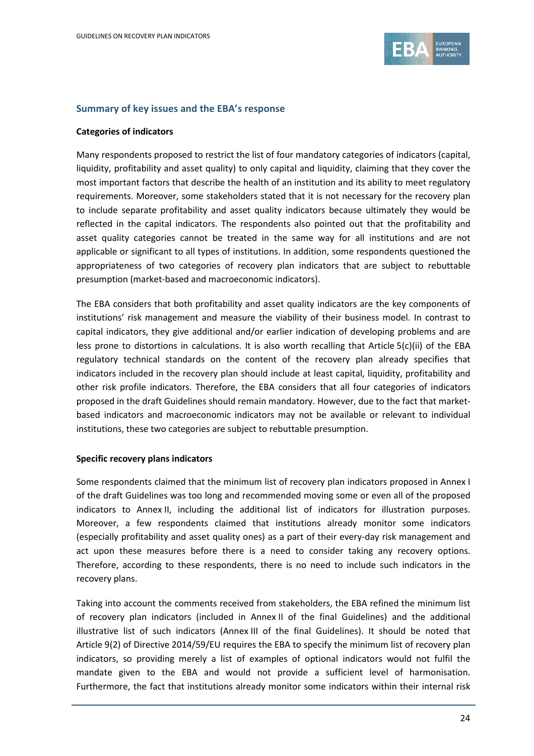

#### **Summary of key issues and the EBA's response**

#### **Categories of indicators**

Many respondents proposed to restrict the list of four mandatory categories of indicators (capital, liquidity, profitability and asset quality) to only capital and liquidity, claiming that they cover the most important factors that describe the health of an institution and its ability to meet regulatory requirements. Moreover, some stakeholders stated that it is not necessary for the recovery plan to include separate profitability and asset quality indicators because ultimately they would be reflected in the capital indicators. The respondents also pointed out that the profitability and asset quality categories cannot be treated in the same way for all institutions and are not applicable or significant to all types of institutions. In addition, some respondents questioned the appropriateness of two categories of recovery plan indicators that are subject to rebuttable presumption (market-based and macroeconomic indicators).

The EBA considers that both profitability and asset quality indicators are the key components of institutions' risk management and measure the viability of their business model. In contrast to capital indicators, they give additional and/or earlier indication of developing problems and are less prone to distortions in calculations. It is also worth recalling that Article 5(c)(ii) of the EBA regulatory technical standards on the content of the recovery plan already specifies that indicators included in the recovery plan should include at least capital, liquidity, profitability and other risk profile indicators. Therefore, the EBA considers that all four categories of indicators proposed in the draft Guidelines should remain mandatory. However, due to the fact that marketbased indicators and macroeconomic indicators may not be available or relevant to individual institutions, these two categories are subject to rebuttable presumption.

#### **Specific recovery plans indicators**

Some respondents claimed that the minimum list of recovery plan indicators proposed in Annex I of the draft Guidelines was too long and recommended moving some or even all of the proposed indicators to Annex II, including the additional list of indicators for illustration purposes. Moreover, a few respondents claimed that institutions already monitor some indicators (especially profitability and asset quality ones) as a part of their every-day risk management and act upon these measures before there is a need to consider taking any recovery options. Therefore, according to these respondents, there is no need to include such indicators in the recovery plans.

Taking into account the comments received from stakeholders, the EBA refined the minimum list of recovery plan indicators (included in Annex II of the final Guidelines) and the additional illustrative list of such indicators (Annex III of the final Guidelines). It should be noted that Article 9(2) of Directive 2014/59/EU requires the EBA to specify the minimum list of recovery plan indicators, so providing merely a list of examples of optional indicators would not fulfil the mandate given to the EBA and would not provide a sufficient level of harmonisation. Furthermore, the fact that institutions already monitor some indicators within their internal risk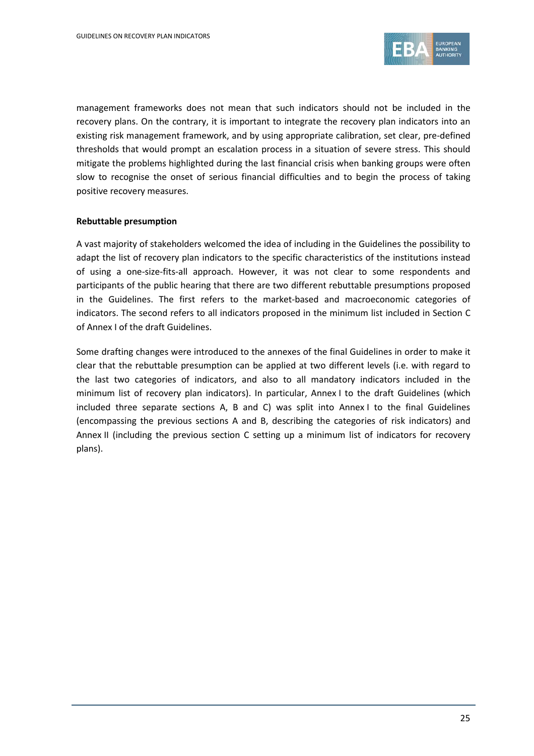

management frameworks does not mean that such indicators should not be included in the recovery plans. On the contrary, it is important to integrate the recovery plan indicators into an existing risk management framework, and by using appropriate calibration, set clear, pre-defined thresholds that would prompt an escalation process in a situation of severe stress. This should mitigate the problems highlighted during the last financial crisis when banking groups were often slow to recognise the onset of serious financial difficulties and to begin the process of taking positive recovery measures.

#### **Rebuttable presumption**

A vast majority of stakeholders welcomed the idea of including in the Guidelines the possibility to adapt the list of recovery plan indicators to the specific characteristics of the institutions instead of using a one-size-fits-all approach. However, it was not clear to some respondents and participants of the public hearing that there are two different rebuttable presumptions proposed in the Guidelines. The first refers to the market-based and macroeconomic categories of indicators. The second refers to all indicators proposed in the minimum list included in Section C of Annex I of the draft Guidelines.

Some drafting changes were introduced to the annexes of the final Guidelines in order to make it clear that the rebuttable presumption can be applied at two different levels (i.e. with regard to the last two categories of indicators, and also to all mandatory indicators included in the minimum list of recovery plan indicators). In particular, Annex I to the draft Guidelines (which included three separate sections A, B and C) was split into Annex I to the final Guidelines (encompassing the previous sections A and B, describing the categories of risk indicators) and Annex II (including the previous section C setting up a minimum list of indicators for recovery plans).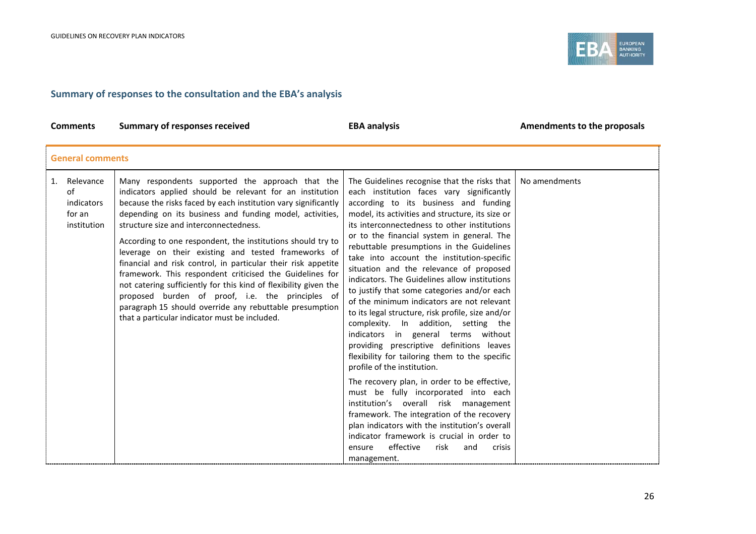

### **Summary of responses to the consultation and the EBA's analysis**

| <b>Comments</b>                                              | <b>Summary of responses received</b>                                                                                                                                                                                                                                                                                                                                                                                                                                                                                                                                                                                                                                                                                                                                        | <b>EBA analysis</b>                                                                                                                                                                                                                                                                                                                                                                                                                                                                                                                                                                                                                                                                                                                                                                                                                                                                                                                                                                                                                                                                                                                                                                      | Amendments to the proposals |  |  |
|--------------------------------------------------------------|-----------------------------------------------------------------------------------------------------------------------------------------------------------------------------------------------------------------------------------------------------------------------------------------------------------------------------------------------------------------------------------------------------------------------------------------------------------------------------------------------------------------------------------------------------------------------------------------------------------------------------------------------------------------------------------------------------------------------------------------------------------------------------|------------------------------------------------------------------------------------------------------------------------------------------------------------------------------------------------------------------------------------------------------------------------------------------------------------------------------------------------------------------------------------------------------------------------------------------------------------------------------------------------------------------------------------------------------------------------------------------------------------------------------------------------------------------------------------------------------------------------------------------------------------------------------------------------------------------------------------------------------------------------------------------------------------------------------------------------------------------------------------------------------------------------------------------------------------------------------------------------------------------------------------------------------------------------------------------|-----------------------------|--|--|
|                                                              | <b>General comments</b>                                                                                                                                                                                                                                                                                                                                                                                                                                                                                                                                                                                                                                                                                                                                                     |                                                                                                                                                                                                                                                                                                                                                                                                                                                                                                                                                                                                                                                                                                                                                                                                                                                                                                                                                                                                                                                                                                                                                                                          |                             |  |  |
| Relevance<br>1.<br>of<br>indicators<br>for an<br>institution | Many respondents supported the approach that the<br>indicators applied should be relevant for an institution<br>because the risks faced by each institution vary significantly<br>depending on its business and funding model, activities,<br>structure size and interconnectedness.<br>According to one respondent, the institutions should try to<br>leverage on their existing and tested frameworks of<br>financial and risk control, in particular their risk appetite<br>framework. This respondent criticised the Guidelines for<br>not catering sufficiently for this kind of flexibility given the<br>proposed burden of proof, i.e. the principles of<br>paragraph 15 should override any rebuttable presumption<br>that a particular indicator must be included. | The Guidelines recognise that the risks that<br>each institution faces vary significantly<br>according to its business and funding<br>model, its activities and structure, its size or<br>its interconnectedness to other institutions<br>or to the financial system in general. The<br>rebuttable presumptions in the Guidelines<br>take into account the institution-specific<br>situation and the relevance of proposed<br>indicators. The Guidelines allow institutions<br>to justify that some categories and/or each<br>of the minimum indicators are not relevant<br>to its legal structure, risk profile, size and/or<br>complexity. In addition, setting the<br>indicators in general terms without<br>providing prescriptive definitions leaves<br>flexibility for tailoring them to the specific<br>profile of the institution.<br>The recovery plan, in order to be effective,<br>must be fully incorporated into each<br>institution's overall risk management<br>framework. The integration of the recovery<br>plan indicators with the institution's overall<br>indicator framework is crucial in order to<br>effective<br>risk<br>and<br>ensure<br>crisis<br>management. | No amendments               |  |  |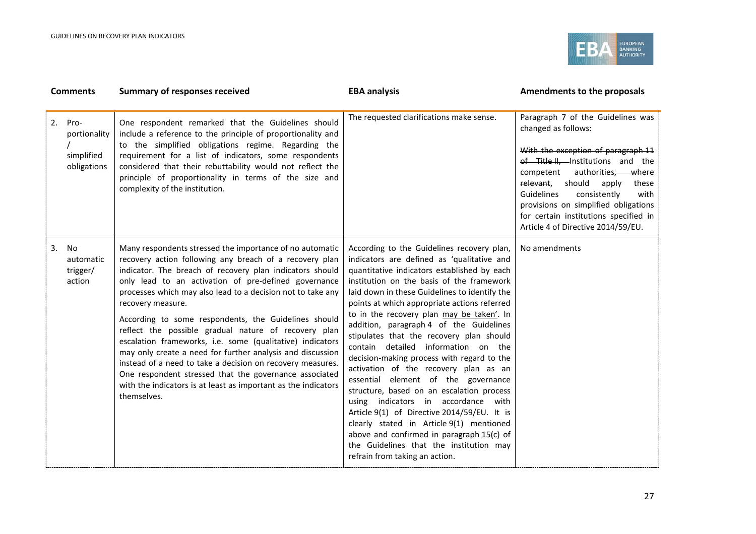

| <b>Comments</b> |                                                   | <b>Summary of responses received</b>                                                                                                                                                                                                                                                                                                                                                                                                                                                                                                                                                                                                                                                                                                                                            | <b>EBA analysis</b>                                                                                                                                                                                                                                                                                                                                                                                                                                                                                                                                                                                                                                                                                                                                                                                                                                                                                     | Amendments to the proposals                                                                                                                                                                                                                                                                                                                                               |
|-----------------|---------------------------------------------------|---------------------------------------------------------------------------------------------------------------------------------------------------------------------------------------------------------------------------------------------------------------------------------------------------------------------------------------------------------------------------------------------------------------------------------------------------------------------------------------------------------------------------------------------------------------------------------------------------------------------------------------------------------------------------------------------------------------------------------------------------------------------------------|---------------------------------------------------------------------------------------------------------------------------------------------------------------------------------------------------------------------------------------------------------------------------------------------------------------------------------------------------------------------------------------------------------------------------------------------------------------------------------------------------------------------------------------------------------------------------------------------------------------------------------------------------------------------------------------------------------------------------------------------------------------------------------------------------------------------------------------------------------------------------------------------------------|---------------------------------------------------------------------------------------------------------------------------------------------------------------------------------------------------------------------------------------------------------------------------------------------------------------------------------------------------------------------------|
| 2.              | Pro-<br>portionality<br>simplified<br>obligations | One respondent remarked that the Guidelines should<br>include a reference to the principle of proportionality and<br>to the simplified obligations regime. Regarding the<br>requirement for a list of indicators, some respondents<br>considered that their rebuttability would not reflect the<br>principle of proportionality in terms of the size and<br>complexity of the institution.                                                                                                                                                                                                                                                                                                                                                                                      | The requested clarifications make sense.                                                                                                                                                                                                                                                                                                                                                                                                                                                                                                                                                                                                                                                                                                                                                                                                                                                                | Paragraph 7 of the Guidelines was<br>changed as follows:<br>With the exception of paragraph 11<br>of Title II, Institutions and the<br>competent<br>authorities, where<br>relevant, should<br>apply<br>these<br>Guidelines<br>consistently<br>with<br>provisions on simplified obligations<br>for certain institutions specified in<br>Article 4 of Directive 2014/59/EU. |
| 3.              | No<br>automatic<br>trigger/<br>action             | Many respondents stressed the importance of no automatic<br>recovery action following any breach of a recovery plan<br>indicator. The breach of recovery plan indicators should<br>only lead to an activation of pre-defined governance<br>processes which may also lead to a decision not to take any<br>recovery measure.<br>According to some respondents, the Guidelines should<br>reflect the possible gradual nature of recovery plan<br>escalation frameworks, i.e. some (qualitative) indicators<br>may only create a need for further analysis and discussion<br>instead of a need to take a decision on recovery measures.<br>One respondent stressed that the governance associated<br>with the indicators is at least as important as the indicators<br>themselves. | According to the Guidelines recovery plan,<br>indicators are defined as 'qualitative and<br>quantitative indicators established by each<br>institution on the basis of the framework<br>laid down in these Guidelines to identify the<br>points at which appropriate actions referred<br>to in the recovery plan may be taken'. In<br>addition, paragraph 4 of the Guidelines<br>stipulates that the recovery plan should<br>contain detailed information on the<br>decision-making process with regard to the<br>activation of the recovery plan as an<br>essential element of the governance<br>structure, based on an escalation process<br>using indicators in accordance with<br>Article 9(1) of Directive 2014/59/EU. It is<br>clearly stated in Article 9(1) mentioned<br>above and confirmed in paragraph 15(c) of<br>the Guidelines that the institution may<br>refrain from taking an action. | No amendments                                                                                                                                                                                                                                                                                                                                                             |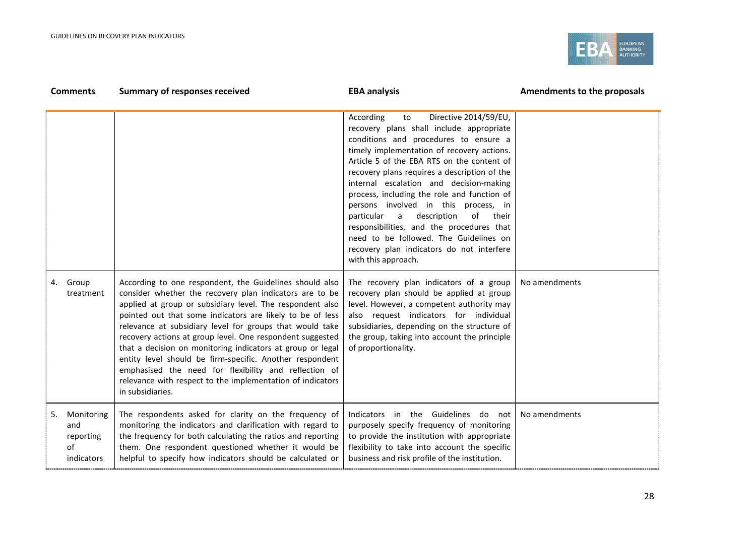

|    | <b>Comments</b>                                    | <b>Summary of responses received</b>                                                                                                                                                                                                                                                                                                                                                                                                                                                                                                                                                                                                       | <b>EBA analysis</b>                                                                                                                                                                                                                                                                                                                                                                                                                                                                                                                                                                                                  | Amendments to the proposals |
|----|----------------------------------------------------|--------------------------------------------------------------------------------------------------------------------------------------------------------------------------------------------------------------------------------------------------------------------------------------------------------------------------------------------------------------------------------------------------------------------------------------------------------------------------------------------------------------------------------------------------------------------------------------------------------------------------------------------|----------------------------------------------------------------------------------------------------------------------------------------------------------------------------------------------------------------------------------------------------------------------------------------------------------------------------------------------------------------------------------------------------------------------------------------------------------------------------------------------------------------------------------------------------------------------------------------------------------------------|-----------------------------|
|    |                                                    |                                                                                                                                                                                                                                                                                                                                                                                                                                                                                                                                                                                                                                            | Directive 2014/59/EU,<br>According<br>to<br>recovery plans shall include appropriate<br>conditions and procedures to ensure a<br>timely implementation of recovery actions.<br>Article 5 of the EBA RTS on the content of<br>recovery plans requires a description of the<br>internal escalation and decision-making<br>process, including the role and function of<br>persons involved in this process, in<br>description<br>particular<br>a<br>of their<br>responsibilities, and the procedures that<br>need to be followed. The Guidelines on<br>recovery plan indicators do not interfere<br>with this approach. |                             |
| 4. | Group<br>treatment                                 | According to one respondent, the Guidelines should also<br>consider whether the recovery plan indicators are to be<br>applied at group or subsidiary level. The respondent also<br>pointed out that some indicators are likely to be of less<br>relevance at subsidiary level for groups that would take<br>recovery actions at group level. One respondent suggested<br>that a decision on monitoring indicators at group or legal<br>entity level should be firm-specific. Another respondent<br>emphasised the need for flexibility and reflection of<br>relevance with respect to the implementation of indicators<br>in subsidiaries. | The recovery plan indicators of a group<br>recovery plan should be applied at group<br>level. However, a competent authority may<br>also request indicators for individual<br>subsidiaries, depending on the structure of<br>the group, taking into account the principle<br>of proportionality.                                                                                                                                                                                                                                                                                                                     | No amendments               |
| 5. | Monitoring<br>and<br>reporting<br>of<br>indicators | The respondents asked for clarity on the frequency of<br>monitoring the indicators and clarification with regard to<br>the frequency for both calculating the ratios and reporting<br>them. One respondent questioned whether it would be<br>helpful to specify how indicators should be calculated or                                                                                                                                                                                                                                                                                                                                     | Indicators in the Guidelines do not<br>purposely specify frequency of monitoring<br>to provide the institution with appropriate<br>flexibility to take into account the specific<br>business and risk profile of the institution.                                                                                                                                                                                                                                                                                                                                                                                    | No amendments               |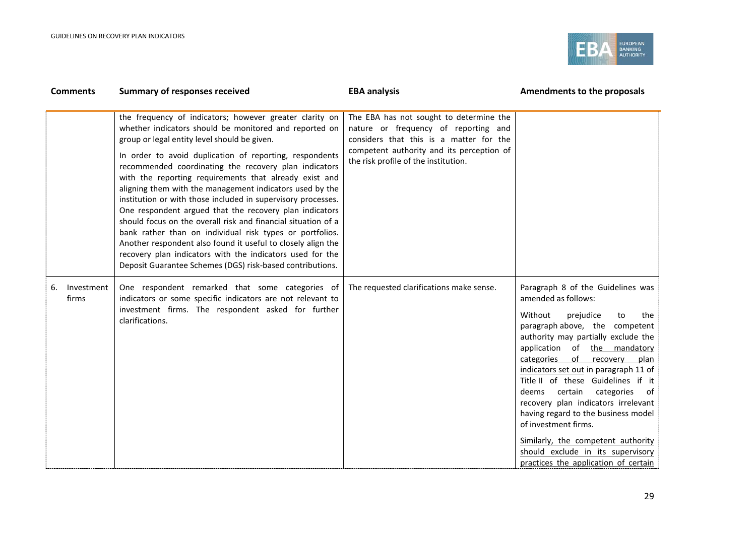

| <b>Comments</b>           | <b>Summary of responses received</b>                                                                                                                                                                                                                                                                                                                                                                                                                                                                                                                                                                                                                                                                                                                                                                                                                          | <b>EBA analysis</b>                                                                                                                                                                                             | Amendments to the proposals                                                                                                                                                                                                                                                                                                                                                                                                                                                                                                                                                                 |
|---------------------------|---------------------------------------------------------------------------------------------------------------------------------------------------------------------------------------------------------------------------------------------------------------------------------------------------------------------------------------------------------------------------------------------------------------------------------------------------------------------------------------------------------------------------------------------------------------------------------------------------------------------------------------------------------------------------------------------------------------------------------------------------------------------------------------------------------------------------------------------------------------|-----------------------------------------------------------------------------------------------------------------------------------------------------------------------------------------------------------------|---------------------------------------------------------------------------------------------------------------------------------------------------------------------------------------------------------------------------------------------------------------------------------------------------------------------------------------------------------------------------------------------------------------------------------------------------------------------------------------------------------------------------------------------------------------------------------------------|
|                           | the frequency of indicators; however greater clarity on<br>whether indicators should be monitored and reported on<br>group or legal entity level should be given.<br>In order to avoid duplication of reporting, respondents<br>recommended coordinating the recovery plan indicators<br>with the reporting requirements that already exist and<br>aligning them with the management indicators used by the<br>institution or with those included in supervisory processes.<br>One respondent argued that the recovery plan indicators<br>should focus on the overall risk and financial situation of a<br>bank rather than on individual risk types or portfolios.<br>Another respondent also found it useful to closely align the<br>recovery plan indicators with the indicators used for the<br>Deposit Guarantee Schemes (DGS) risk-based contributions. | The EBA has not sought to determine the<br>nature or frequency of reporting and<br>considers that this is a matter for the<br>competent authority and its perception of<br>the risk profile of the institution. |                                                                                                                                                                                                                                                                                                                                                                                                                                                                                                                                                                                             |
| 6.<br>Investment<br>firms | One respondent remarked that some categories of<br>indicators or some specific indicators are not relevant to<br>investment firms. The respondent asked for further<br>clarifications.                                                                                                                                                                                                                                                                                                                                                                                                                                                                                                                                                                                                                                                                        | The requested clarifications make sense.                                                                                                                                                                        | Paragraph 8 of the Guidelines was<br>amended as follows:<br>Without<br>prejudice<br>the<br>to<br>paragraph above, the competent<br>authority may partially exclude the<br>application of the mandatory<br>of<br>categories<br>recovery<br>plan<br>indicators set out in paragraph 11 of<br>Title II of these Guidelines if it<br>deems certain<br>categories<br>of<br>recovery plan indicators irrelevant<br>having regard to the business model<br>of investment firms.<br>Similarly, the competent authority<br>should exclude in its supervisory<br>practices the application of certain |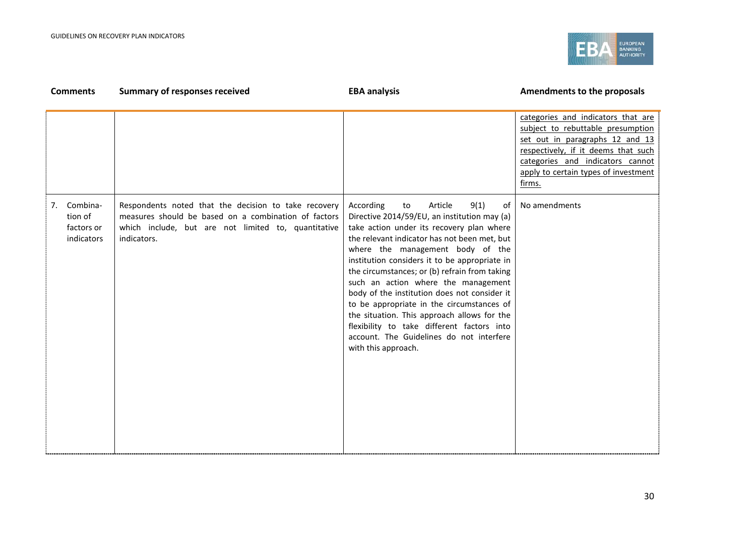

#### **Comments Summary of responses received EBA analysis EBA analysis EBA analysis Amendments to the proposals** categories and indicators that are subject to rebuttable presumption set out in paragraphs 12 and 13 respectively, if it deems that such categories and indicators cannot apply to certain types of investment firms. 7. Combination of factors or indicators Respondents noted that the decision to take recovery measures should be based on a combination of factors which include, but are not limited to, quantitative indicators. According to Article 9(1) of Directive 2014/59/EU, an institution may (a) take action under its recovery plan where the relevant indicator has not been met, but where the management body of the institution considers it to be appropriate in the circumstances; or (b) refrain from taking such an action where the management body of the institution does not consider it to be appropriate in the circumstances of the situation. This approach allows for the flexibility to take different factors into account. The Guidelines do not interfere with this approach. No amendments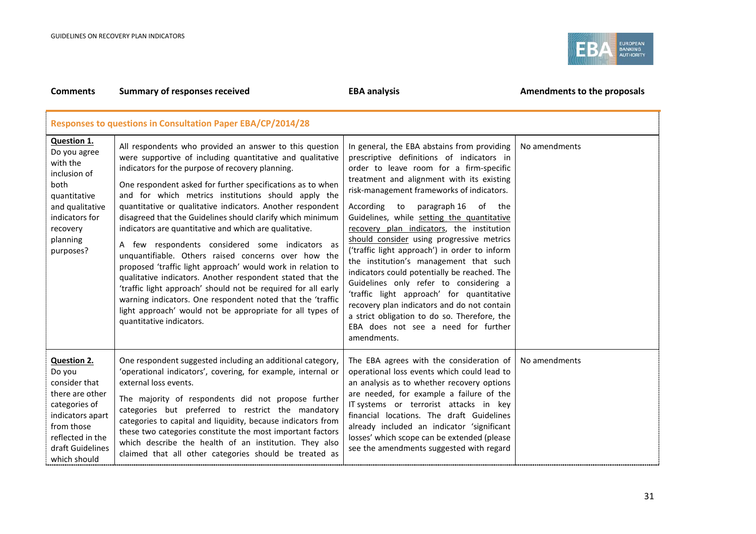

| <b>Comments</b>                                                                                                                                                             | <b>Summary of responses received</b>                                                                                                                                                                                                                                                                                                                                                                                                                                                                                                                                                                                                                                                                                                                                                                                                                                                                                                               | <b>EBA analysis</b>                                                                                                                                                                                                                                                                                                                                                                                                                                                                                                                                                                                                                                                                                                                                                                                    | Amendments to the proposals |  |  |  |
|-----------------------------------------------------------------------------------------------------------------------------------------------------------------------------|----------------------------------------------------------------------------------------------------------------------------------------------------------------------------------------------------------------------------------------------------------------------------------------------------------------------------------------------------------------------------------------------------------------------------------------------------------------------------------------------------------------------------------------------------------------------------------------------------------------------------------------------------------------------------------------------------------------------------------------------------------------------------------------------------------------------------------------------------------------------------------------------------------------------------------------------------|--------------------------------------------------------------------------------------------------------------------------------------------------------------------------------------------------------------------------------------------------------------------------------------------------------------------------------------------------------------------------------------------------------------------------------------------------------------------------------------------------------------------------------------------------------------------------------------------------------------------------------------------------------------------------------------------------------------------------------------------------------------------------------------------------------|-----------------------------|--|--|--|
|                                                                                                                                                                             | <b>Responses to questions in Consultation Paper EBA/CP/2014/28</b>                                                                                                                                                                                                                                                                                                                                                                                                                                                                                                                                                                                                                                                                                                                                                                                                                                                                                 |                                                                                                                                                                                                                                                                                                                                                                                                                                                                                                                                                                                                                                                                                                                                                                                                        |                             |  |  |  |
| Question 1.<br>Do you agree<br>with the<br>inclusion of<br>both<br>quantitative<br>and qualitative<br>indicators for<br>recovery<br>planning<br>purposes?                   | All respondents who provided an answer to this question<br>were supportive of including quantitative and qualitative<br>indicators for the purpose of recovery planning.<br>One respondent asked for further specifications as to when<br>and for which metrics institutions should apply the<br>quantitative or qualitative indicators. Another respondent<br>disagreed that the Guidelines should clarify which minimum<br>indicators are quantitative and which are qualitative.<br>A few respondents considered some indicators as<br>unquantifiable. Others raised concerns over how the<br>proposed 'traffic light approach' would work in relation to<br>qualitative indicators. Another respondent stated that the<br>'traffic light approach' should not be required for all early<br>warning indicators. One respondent noted that the 'traffic<br>light approach' would not be appropriate for all types of<br>quantitative indicators. | In general, the EBA abstains from providing<br>prescriptive definitions of indicators in<br>order to leave room for a firm-specific<br>treatment and alignment with its existing<br>risk-management frameworks of indicators.<br>paragraph 16 of the<br>According<br>to<br>Guidelines, while setting the quantitative<br>recovery plan indicators, the institution<br>should consider using progressive metrics<br>('traffic light approach') in order to inform<br>the institution's management that such<br>indicators could potentially be reached. The<br>Guidelines only refer to considering a<br>'traffic light approach' for quantitative<br>recovery plan indicators and do not contain<br>a strict obligation to do so. Therefore, the<br>EBA does not see a need for further<br>amendments. | No amendments               |  |  |  |
| <b>Question 2.</b><br>Do you<br>consider that<br>there are other<br>categories of<br>indicators apart<br>from those<br>reflected in the<br>draft Guidelines<br>which should | One respondent suggested including an additional category,<br>'operational indicators', covering, for example, internal or<br>external loss events.<br>The majority of respondents did not propose further<br>categories but preferred to restrict the mandatory<br>categories to capital and liquidity, because indicators from<br>these two categories constitute the most important factors<br>which describe the health of an institution. They also<br>claimed that all other categories should be treated as                                                                                                                                                                                                                                                                                                                                                                                                                                 | The EBA agrees with the consideration of<br>operational loss events which could lead to<br>an analysis as to whether recovery options<br>are needed, for example a failure of the<br>IT systems or terrorist attacks in key<br>financial locations. The draft Guidelines<br>already included an indicator 'significant<br>losses' which scope can be extended (please<br>see the amendments suggested with regard                                                                                                                                                                                                                                                                                                                                                                                      | No amendments               |  |  |  |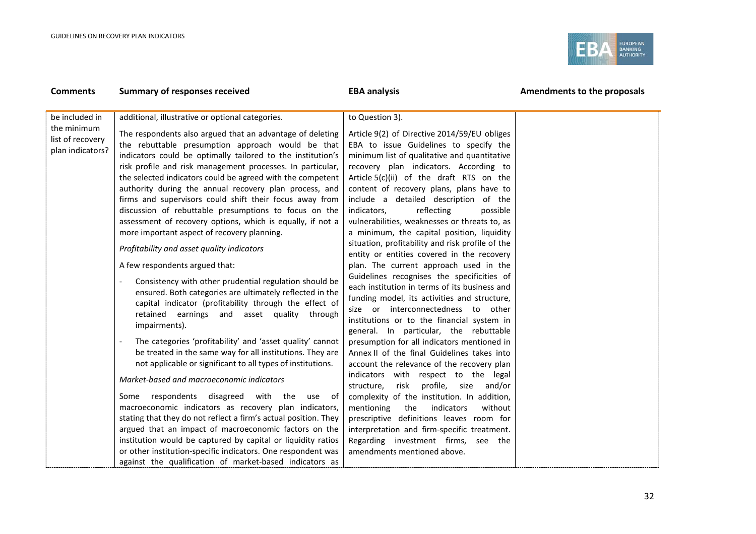

| <b>Comments</b>                                     | <b>Summary of responses received</b>                                                                                                                                                                                                                                                                                                                                                                                                                                                                                                                                                                                                                                                                                                                                                                                                                                                                                                                                                                                                                                                                                                                                                                                                                                                                                                                                                                                                                                                                                                                   | <b>EBA analysis</b>                                                                                                                                                                                                                                                                                                                                                                                                                                                                                                                                                                                                                                                                                                                                                                                                                                                                                                                                                                                                                                                                                                                                                                                                                                                                                                                                                                       | Amendments to the proposals |
|-----------------------------------------------------|--------------------------------------------------------------------------------------------------------------------------------------------------------------------------------------------------------------------------------------------------------------------------------------------------------------------------------------------------------------------------------------------------------------------------------------------------------------------------------------------------------------------------------------------------------------------------------------------------------------------------------------------------------------------------------------------------------------------------------------------------------------------------------------------------------------------------------------------------------------------------------------------------------------------------------------------------------------------------------------------------------------------------------------------------------------------------------------------------------------------------------------------------------------------------------------------------------------------------------------------------------------------------------------------------------------------------------------------------------------------------------------------------------------------------------------------------------------------------------------------------------------------------------------------------------|-------------------------------------------------------------------------------------------------------------------------------------------------------------------------------------------------------------------------------------------------------------------------------------------------------------------------------------------------------------------------------------------------------------------------------------------------------------------------------------------------------------------------------------------------------------------------------------------------------------------------------------------------------------------------------------------------------------------------------------------------------------------------------------------------------------------------------------------------------------------------------------------------------------------------------------------------------------------------------------------------------------------------------------------------------------------------------------------------------------------------------------------------------------------------------------------------------------------------------------------------------------------------------------------------------------------------------------------------------------------------------------------|-----------------------------|
| be included in                                      | additional, illustrative or optional categories.                                                                                                                                                                                                                                                                                                                                                                                                                                                                                                                                                                                                                                                                                                                                                                                                                                                                                                                                                                                                                                                                                                                                                                                                                                                                                                                                                                                                                                                                                                       | to Question 3).                                                                                                                                                                                                                                                                                                                                                                                                                                                                                                                                                                                                                                                                                                                                                                                                                                                                                                                                                                                                                                                                                                                                                                                                                                                                                                                                                                           |                             |
| the minimum<br>list of recovery<br>plan indicators? | The respondents also argued that an advantage of deleting<br>the rebuttable presumption approach would be that<br>indicators could be optimally tailored to the institution's<br>risk profile and risk management processes. In particular,<br>the selected indicators could be agreed with the competent<br>authority during the annual recovery plan process, and<br>firms and supervisors could shift their focus away from<br>discussion of rebuttable presumptions to focus on the<br>assessment of recovery options, which is equally, if not a<br>more important aspect of recovery planning.<br>Profitability and asset quality indicators<br>A few respondents argued that:<br>Consistency with other prudential regulation should be<br>ensured. Both categories are ultimately reflected in the<br>capital indicator (profitability through the effect of<br>retained earnings and asset quality through<br>impairments).<br>The categories 'profitability' and 'asset quality' cannot<br>be treated in the same way for all institutions. They are<br>not applicable or significant to all types of institutions.<br>Market-based and macroeconomic indicators<br>respondents<br>disagreed with the<br>Some<br>use of<br>macroeconomic indicators as recovery plan indicators,<br>stating that they do not reflect a firm's actual position. They<br>argued that an impact of macroeconomic factors on the<br>institution would be captured by capital or liquidity ratios<br>or other institution-specific indicators. One respondent was | Article 9(2) of Directive 2014/59/EU obliges<br>EBA to issue Guidelines to specify the<br>minimum list of qualitative and quantitative<br>recovery plan indicators. According to<br>Article 5(c)(ii) of the draft RTS on the<br>content of recovery plans, plans have to<br>include a detailed description of the<br>indicators,<br>reflecting<br>possible<br>vulnerabilities, weaknesses or threats to, as<br>a minimum, the capital position, liquidity<br>situation, profitability and risk profile of the<br>entity or entities covered in the recovery<br>plan. The current approach used in the<br>Guidelines recognises the specificities of<br>each institution in terms of its business and<br>funding model, its activities and structure,<br>size or interconnectedness to other<br>institutions or to the financial system in<br>general. In particular, the rebuttable<br>presumption for all indicators mentioned in<br>Annex II of the final Guidelines takes into<br>account the relevance of the recovery plan<br>indicators with respect to the legal<br>risk<br>profile,<br>structure,<br>size<br>and/or<br>complexity of the institution. In addition,<br>mentioning<br>the<br>indicators<br>without<br>prescriptive definitions leaves room for<br>interpretation and firm-specific treatment.<br>Regarding investment firms, see the<br>amendments mentioned above. |                             |
|                                                     | against the qualification of market-based indicators as                                                                                                                                                                                                                                                                                                                                                                                                                                                                                                                                                                                                                                                                                                                                                                                                                                                                                                                                                                                                                                                                                                                                                                                                                                                                                                                                                                                                                                                                                                |                                                                                                                                                                                                                                                                                                                                                                                                                                                                                                                                                                                                                                                                                                                                                                                                                                                                                                                                                                                                                                                                                                                                                                                                                                                                                                                                                                                           |                             |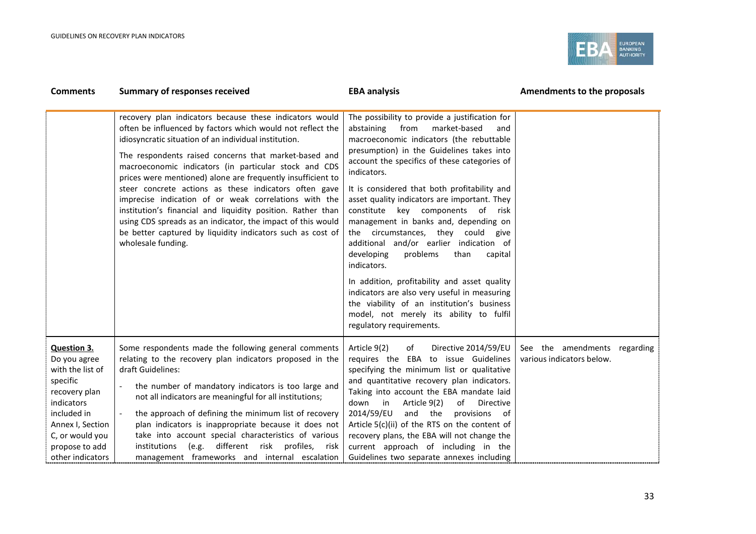

| <b>Comments</b>                                                                                                                                                                               | <b>Summary of responses received</b>                                                                                                                                                                                                                                                                                                                                                                                                                                                                                                                                                                                                                                                                | <b>EBA analysis</b>                                                                                                                                                                                                                                                                                                                                                                                                                                                                                                                                                                                                                                                                                                                                                                                    | Amendments to the proposals                                  |
|-----------------------------------------------------------------------------------------------------------------------------------------------------------------------------------------------|-----------------------------------------------------------------------------------------------------------------------------------------------------------------------------------------------------------------------------------------------------------------------------------------------------------------------------------------------------------------------------------------------------------------------------------------------------------------------------------------------------------------------------------------------------------------------------------------------------------------------------------------------------------------------------------------------------|--------------------------------------------------------------------------------------------------------------------------------------------------------------------------------------------------------------------------------------------------------------------------------------------------------------------------------------------------------------------------------------------------------------------------------------------------------------------------------------------------------------------------------------------------------------------------------------------------------------------------------------------------------------------------------------------------------------------------------------------------------------------------------------------------------|--------------------------------------------------------------|
|                                                                                                                                                                                               | recovery plan indicators because these indicators would<br>often be influenced by factors which would not reflect the<br>idiosyncratic situation of an individual institution.<br>The respondents raised concerns that market-based and<br>macroeconomic indicators (in particular stock and CDS<br>prices were mentioned) alone are frequently insufficient to<br>steer concrete actions as these indicators often gave<br>imprecise indication of or weak correlations with the<br>institution's financial and liquidity position. Rather than<br>using CDS spreads as an indicator, the impact of this would<br>be better captured by liquidity indicators such as cost of<br>wholesale funding. | The possibility to provide a justification for<br>abstaining<br>from<br>market-based<br>and<br>macroeconomic indicators (the rebuttable<br>presumption) in the Guidelines takes into<br>account the specifics of these categories of<br>indicators.<br>It is considered that both profitability and<br>asset quality indicators are important. They<br>constitute key components of risk<br>management in banks and, depending on<br>the circumstances, they could<br>give<br>additional and/or earlier indication of<br>developing<br>problems<br>than<br>capital<br>indicators.<br>In addition, profitability and asset quality<br>indicators are also very useful in measuring<br>the viability of an institution's business<br>model, not merely its ability to fulfil<br>regulatory requirements. |                                                              |
| <b>Question 3.</b><br>Do you agree<br>with the list of<br>specific<br>recovery plan<br>indicators<br>included in<br>Annex I, Section<br>C, or would you<br>propose to add<br>other indicators | Some respondents made the following general comments<br>relating to the recovery plan indicators proposed in the<br>draft Guidelines:<br>the number of mandatory indicators is too large and<br>not all indicators are meaningful for all institutions;<br>the approach of defining the minimum list of recovery<br>plan indicators is inappropriate because it does not<br>take into account special characteristics of various<br>different risk profiles, risk<br>(e.g.<br>institutions<br>management frameworks and internal escalation                                                                                                                                                         | Article 9(2)<br>of<br>Directive 2014/59/EU<br>requires the EBA to issue Guidelines<br>specifying the minimum list or qualitative<br>and quantitative recovery plan indicators.<br>Taking into account the EBA mandate laid<br>down in<br>Article 9(2)<br>of<br>Directive<br>2014/59/EU<br>and the<br>provisions<br>of<br>Article 5(c)(ii) of the RTS on the content of<br>recovery plans, the EBA will not change the<br>current approach of including in the<br>Guidelines two separate annexes including                                                                                                                                                                                                                                                                                             | See the amendments<br>regarding<br>various indicators below. |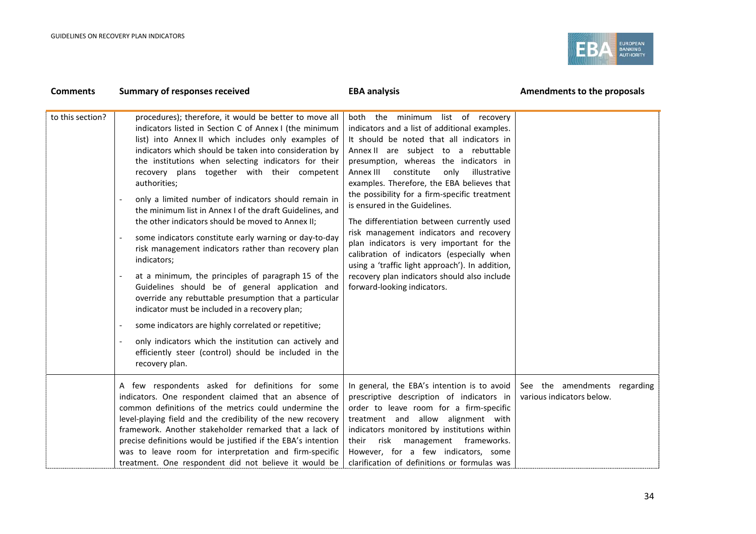

| <b>Comments</b>  | <b>Summary of responses received</b>                                                                                                                                                                                                                                                                                                                                                                                                                                                                                                                                                                                                                                                                                                                                                                                                                                                                                                                                                                                                                                                  | <b>EBA analysis</b>                                                                                                                                                                                                                                                                                                                                                                                                                                                                                                                                                                                                                                                                                                     | Amendments to the proposals                                  |
|------------------|---------------------------------------------------------------------------------------------------------------------------------------------------------------------------------------------------------------------------------------------------------------------------------------------------------------------------------------------------------------------------------------------------------------------------------------------------------------------------------------------------------------------------------------------------------------------------------------------------------------------------------------------------------------------------------------------------------------------------------------------------------------------------------------------------------------------------------------------------------------------------------------------------------------------------------------------------------------------------------------------------------------------------------------------------------------------------------------|-------------------------------------------------------------------------------------------------------------------------------------------------------------------------------------------------------------------------------------------------------------------------------------------------------------------------------------------------------------------------------------------------------------------------------------------------------------------------------------------------------------------------------------------------------------------------------------------------------------------------------------------------------------------------------------------------------------------------|--------------------------------------------------------------|
| to this section? | procedures); therefore, it would be better to move all<br>indicators listed in Section C of Annex I (the minimum<br>list) into Annex II which includes only examples of<br>indicators which should be taken into consideration by<br>the institutions when selecting indicators for their<br>recovery plans together with their competent<br>authorities;<br>only a limited number of indicators should remain in<br>the minimum list in Annex I of the draft Guidelines, and<br>the other indicators should be moved to Annex II;<br>some indicators constitute early warning or day-to-day<br>risk management indicators rather than recovery plan<br>indicators;<br>at a minimum, the principles of paragraph 15 of the<br>Guidelines should be of general application and<br>override any rebuttable presumption that a particular<br>indicator must be included in a recovery plan;<br>some indicators are highly correlated or repetitive;<br>only indicators which the institution can actively and<br>efficiently steer (control) should be included in the<br>recovery plan. | both the minimum list of recovery<br>indicators and a list of additional examples.<br>It should be noted that all indicators in<br>Annex II are subject to a rebuttable<br>presumption, whereas the indicators in<br>Annex III constitute<br>only<br>illustrative<br>examples. Therefore, the EBA believes that<br>the possibility for a firm-specific treatment<br>is ensured in the Guidelines.<br>The differentiation between currently used<br>risk management indicators and recovery<br>plan indicators is very important for the<br>calibration of indicators (especially when<br>using a 'traffic light approach'). In addition,<br>recovery plan indicators should also include<br>forward-looking indicators. |                                                              |
|                  | A few respondents asked for definitions for some<br>indicators. One respondent claimed that an absence of<br>common definitions of the metrics could undermine the<br>level-playing field and the credibility of the new recovery<br>framework. Another stakeholder remarked that a lack of<br>precise definitions would be justified if the EBA's intention<br>was to leave room for interpretation and firm-specific<br>treatment. One respondent did not believe it would be                                                                                                                                                                                                                                                                                                                                                                                                                                                                                                                                                                                                       | In general, the EBA's intention is to avoid<br>prescriptive description of indicators in<br>order to leave room for a firm-specific<br>treatment and allow alignment with<br>indicators monitored by institutions within<br>risk<br>management frameworks.<br>their<br>However, for a few indicators, some<br>clarification of definitions or formulas was                                                                                                                                                                                                                                                                                                                                                              | See the amendments<br>regarding<br>various indicators below. |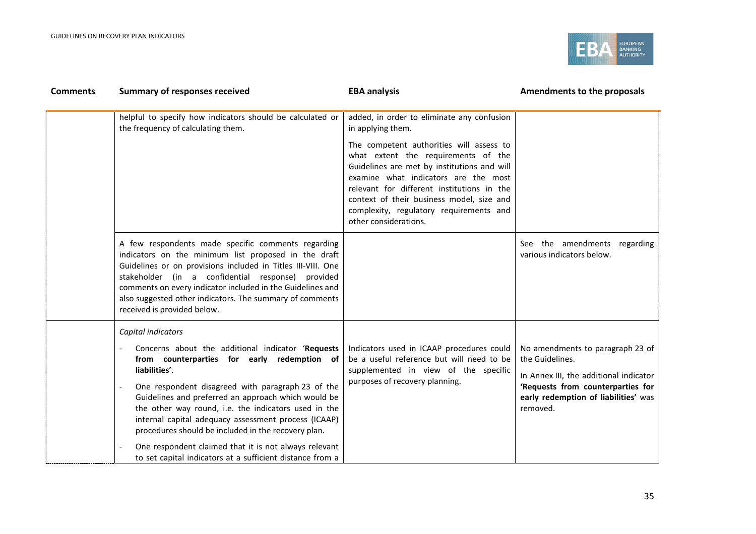

| <b>Comments</b> | <b>Summary of responses received</b>                                                                                                                                                                                                                                                                                                                                                                                                                                                                                                             | <b>EBA analysis</b>                                                                                                                                                                                                                                                                                                                   | Amendments to the proposals                                                                                                                                                            |
|-----------------|--------------------------------------------------------------------------------------------------------------------------------------------------------------------------------------------------------------------------------------------------------------------------------------------------------------------------------------------------------------------------------------------------------------------------------------------------------------------------------------------------------------------------------------------------|---------------------------------------------------------------------------------------------------------------------------------------------------------------------------------------------------------------------------------------------------------------------------------------------------------------------------------------|----------------------------------------------------------------------------------------------------------------------------------------------------------------------------------------|
|                 | helpful to specify how indicators should be calculated or<br>the frequency of calculating them.                                                                                                                                                                                                                                                                                                                                                                                                                                                  | added, in order to eliminate any confusion<br>in applying them.                                                                                                                                                                                                                                                                       |                                                                                                                                                                                        |
|                 |                                                                                                                                                                                                                                                                                                                                                                                                                                                                                                                                                  | The competent authorities will assess to<br>what extent the requirements of the<br>Guidelines are met by institutions and will<br>examine what indicators are the most<br>relevant for different institutions in the<br>context of their business model, size and<br>complexity, regulatory requirements and<br>other considerations. |                                                                                                                                                                                        |
|                 | A few respondents made specific comments regarding<br>indicators on the minimum list proposed in the draft<br>Guidelines or on provisions included in Titles III-VIII. One<br>stakeholder (in a confidential response)<br>provided<br>comments on every indicator included in the Guidelines and<br>also suggested other indicators. The summary of comments<br>received is provided below.                                                                                                                                                      |                                                                                                                                                                                                                                                                                                                                       | See the amendments<br>regarding<br>various indicators below.                                                                                                                           |
|                 | Capital indicators<br>Concerns about the additional indicator 'Requests<br>from counterparties for early redemption of<br>liabilities'.<br>One respondent disagreed with paragraph 23 of the<br>Guidelines and preferred an approach which would be<br>the other way round, i.e. the indicators used in the<br>internal capital adequacy assessment process (ICAAP)<br>procedures should be included in the recovery plan.<br>One respondent claimed that it is not always relevant<br>to set capital indicators at a sufficient distance from a | Indicators used in ICAAP procedures could<br>be a useful reference but will need to be<br>supplemented in view of the specific<br>purposes of recovery planning.                                                                                                                                                                      | No amendments to paragraph 23 of<br>the Guidelines.<br>In Annex III, the additional indicator<br>'Requests from counterparties for<br>early redemption of liabilities' was<br>removed. |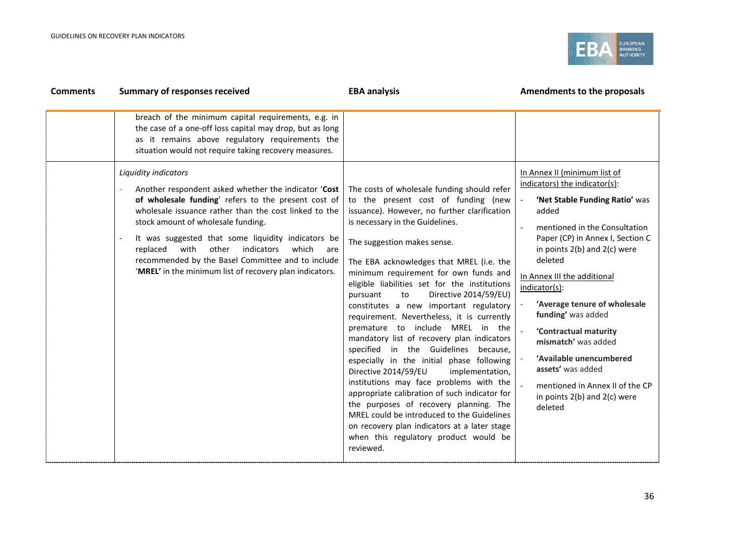

| <b>Comments</b> | <b>Summary of responses received</b>                                                                                                                                                                                                                                                                                                                                                                                                                                | <b>EBA analysis</b>                                                                                                                                                                                                                                                                                                                                                                                                                                                                                                                                                                                                                                                                                                                                                                                                                                                                                                                                                                       | Amendments to the proposals                                                                                                                                                                                                                                                                                                                                                                                                                                                                                      |
|-----------------|---------------------------------------------------------------------------------------------------------------------------------------------------------------------------------------------------------------------------------------------------------------------------------------------------------------------------------------------------------------------------------------------------------------------------------------------------------------------|-------------------------------------------------------------------------------------------------------------------------------------------------------------------------------------------------------------------------------------------------------------------------------------------------------------------------------------------------------------------------------------------------------------------------------------------------------------------------------------------------------------------------------------------------------------------------------------------------------------------------------------------------------------------------------------------------------------------------------------------------------------------------------------------------------------------------------------------------------------------------------------------------------------------------------------------------------------------------------------------|------------------------------------------------------------------------------------------------------------------------------------------------------------------------------------------------------------------------------------------------------------------------------------------------------------------------------------------------------------------------------------------------------------------------------------------------------------------------------------------------------------------|
|                 | breach of the minimum capital requirements, e.g. in<br>the case of a one-off loss capital may drop, but as long<br>as it remains above regulatory requirements the<br>situation would not require taking recovery measures.                                                                                                                                                                                                                                         |                                                                                                                                                                                                                                                                                                                                                                                                                                                                                                                                                                                                                                                                                                                                                                                                                                                                                                                                                                                           |                                                                                                                                                                                                                                                                                                                                                                                                                                                                                                                  |
|                 | Liquidity indicators<br>Another respondent asked whether the indicator 'Cost<br>of wholesale funding' refers to the present cost of<br>wholesale issuance rather than the cost linked to the<br>stock amount of wholesale funding.<br>It was suggested that some liquidity indicators be<br>replaced<br>with<br>other<br>indicators<br>which<br>are<br>recommended by the Basel Committee and to include<br>'MREL' in the minimum list of recovery plan indicators. | The costs of wholesale funding should refer<br>to the present cost of funding (new<br>issuance). However, no further clarification<br>is necessary in the Guidelines.<br>The suggestion makes sense.<br>The EBA acknowledges that MREL (i.e. the<br>minimum requirement for own funds and<br>eligible liabilities set for the institutions<br>Directive 2014/59/EU)<br>pursuant<br>to<br>constitutes a new important regulatory<br>requirement. Nevertheless, it is currently<br>premature to include MREL in the<br>mandatory list of recovery plan indicators<br>specified in the Guidelines because,<br>especially in the initial phase following<br>Directive 2014/59/EU<br>implementation,<br>institutions may face problems with the<br>appropriate calibration of such indicator for<br>the purposes of recovery planning. The<br>MREL could be introduced to the Guidelines<br>on recovery plan indicators at a later stage<br>when this regulatory product would be<br>reviewed. | In Annex II (minimum list of<br>indicators) the indicator(s):<br>'Net Stable Funding Ratio' was<br>added<br>mentioned in the Consultation<br>Paper (CP) in Annex I, Section C<br>in points $2(b)$ and $2(c)$ were<br>deleted<br>In Annex III the additional<br>indicator(s):<br>'Average tenure of wholesale<br>funding' was added<br>'Contractual maturity<br>mismatch' was added<br>'Available unencumbered<br>assets' was added<br>mentioned in Annex II of the CP<br>in points 2(b) and 2(c) were<br>deleted |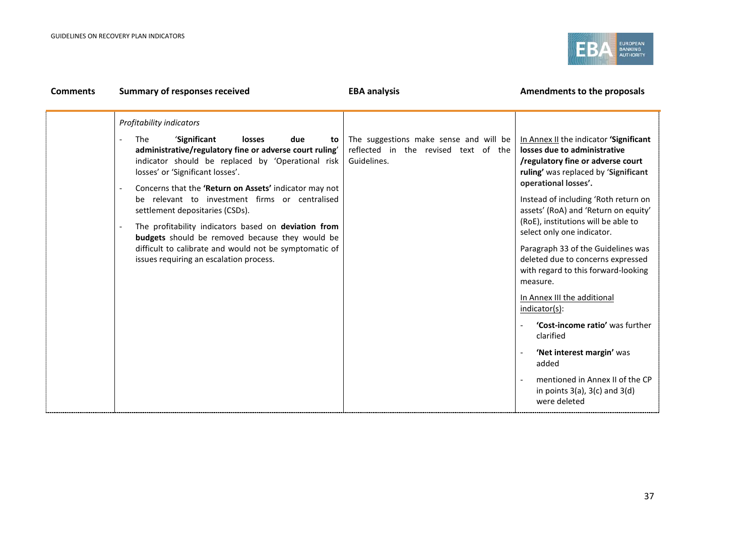

| <b>Comments</b> | <b>Summary of responses received</b>                                                                                                                                                                                                                                                                                                                                                                                                                                                                                                                                                             | <b>EBA analysis</b>                                                                           | Amendments to the proposals                                                                                                                                                                                                                                                                                                                                                                                                                                                                                                                                                                                                                                                                     |
|-----------------|--------------------------------------------------------------------------------------------------------------------------------------------------------------------------------------------------------------------------------------------------------------------------------------------------------------------------------------------------------------------------------------------------------------------------------------------------------------------------------------------------------------------------------------------------------------------------------------------------|-----------------------------------------------------------------------------------------------|-------------------------------------------------------------------------------------------------------------------------------------------------------------------------------------------------------------------------------------------------------------------------------------------------------------------------------------------------------------------------------------------------------------------------------------------------------------------------------------------------------------------------------------------------------------------------------------------------------------------------------------------------------------------------------------------------|
|                 | Profitability indicators<br>'Significant<br><b>The</b><br>due<br>losses<br>to<br>administrative/regulatory fine or adverse court ruling'<br>indicator should be replaced by 'Operational risk<br>losses' or 'Significant losses'.<br>Concerns that the 'Return on Assets' indicator may not<br>be relevant to investment firms or centralised<br>settlement depositaries (CSDs).<br>The profitability indicators based on deviation from<br>budgets should be removed because they would be<br>difficult to calibrate and would not be symptomatic of<br>issues requiring an escalation process. | The suggestions make sense and will be<br>reflected in the revised text of the<br>Guidelines. | In Annex II the indicator 'Significant<br>losses due to administrative<br>/regulatory fine or adverse court<br>ruling' was replaced by 'Significant<br>operational losses'.<br>Instead of including 'Roth return on<br>assets' (RoA) and 'Return on equity'<br>(RoE), institutions will be able to<br>select only one indicator.<br>Paragraph 33 of the Guidelines was<br>deleted due to concerns expressed<br>with regard to this forward-looking<br>measure.<br>In Annex III the additional<br>indicator(s):<br>'Cost-income ratio' was further<br>clarified<br>'Net interest margin' was<br>added<br>mentioned in Annex II of the CP<br>in points $3(a)$ , $3(c)$ and $3(d)$<br>were deleted |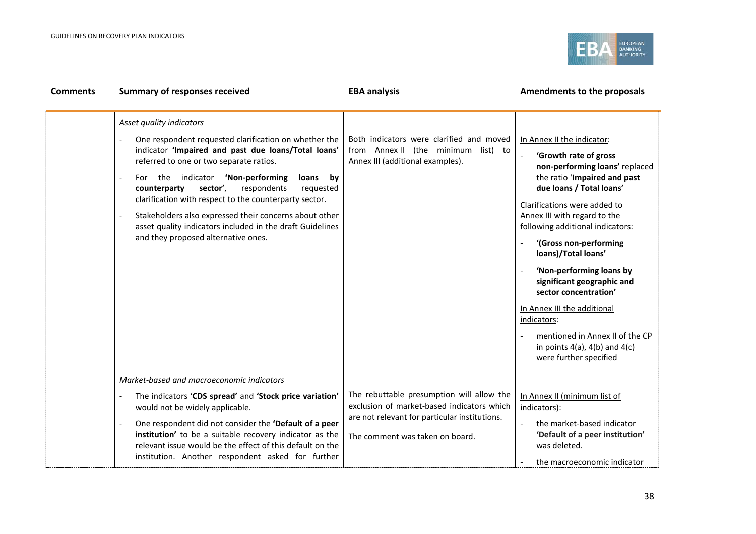

| <b>Comments</b> | <b>Summary of responses received</b>                                                                                                                                                                                                                                                                                                                                                                                                                                                                                 | <b>EBA analysis</b>                                                                                                                                                         | Amendments to the proposals                                                                                                                                                                                                                                                                                                                                                                                                                                                                                                                  |
|-----------------|----------------------------------------------------------------------------------------------------------------------------------------------------------------------------------------------------------------------------------------------------------------------------------------------------------------------------------------------------------------------------------------------------------------------------------------------------------------------------------------------------------------------|-----------------------------------------------------------------------------------------------------------------------------------------------------------------------------|----------------------------------------------------------------------------------------------------------------------------------------------------------------------------------------------------------------------------------------------------------------------------------------------------------------------------------------------------------------------------------------------------------------------------------------------------------------------------------------------------------------------------------------------|
|                 | Asset quality indicators<br>One respondent requested clarification on whether the<br>indicator 'Impaired and past due loans/Total loans'<br>referred to one or two separate ratios.<br>For the indicator 'Non-performing<br>loans by<br>sector',<br>respondents<br>requested<br>counterparty<br>clarification with respect to the counterparty sector.<br>Stakeholders also expressed their concerns about other<br>asset quality indicators included in the draft Guidelines<br>and they proposed alternative ones. | Both indicators were clarified and moved<br>from Annex II (the minimum list) to<br>Annex III (additional examples).                                                         | In Annex II the indicator:<br>'Growth rate of gross<br>non-performing loans' replaced<br>the ratio 'Impaired and past<br>due loans / Total loans'<br>Clarifications were added to<br>Annex III with regard to the<br>following additional indicators:<br>'(Gross non-performing<br>loans)/Total loans'<br>'Non-performing loans by<br>significant geographic and<br>sector concentration'<br>In Annex III the additional<br>indicators:<br>mentioned in Annex II of the CP<br>in points $4(a)$ , $4(b)$ and $4(c)$<br>were further specified |
|                 | Market-based and macroeconomic indicators<br>The indicators 'CDS spread' and 'Stock price variation'<br>would not be widely applicable.<br>One respondent did not consider the 'Default of a peer<br>institution' to be a suitable recovery indicator as the<br>relevant issue would be the effect of this default on the<br>institution. Another respondent asked for further                                                                                                                                       | The rebuttable presumption will allow the<br>exclusion of market-based indicators which<br>are not relevant for particular institutions.<br>The comment was taken on board. | In Annex II (minimum list of<br>indicators):<br>the market-based indicator<br>'Default of a peer institution'<br>was deleted.<br>the macroeconomic indicator                                                                                                                                                                                                                                                                                                                                                                                 |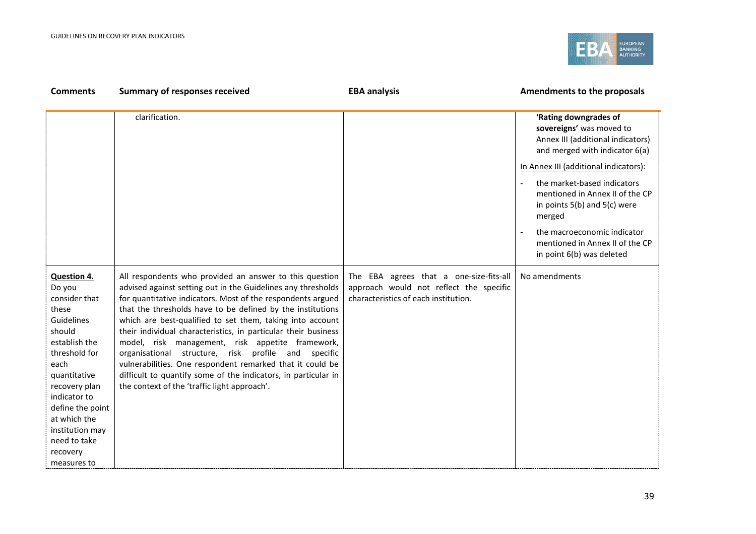

| <b>Comments</b>                                                                                                                                                                                                                                                             | <b>Summary of responses received</b>                                                                                                                                                                                                                                                                                                                                                                                                                                                                                                                                                                                                                                          | <b>EBA analysis</b>                                                                                                        | Amendments to the proposals                                                                                                                                                                                                                                                                                                                                                      |
|-----------------------------------------------------------------------------------------------------------------------------------------------------------------------------------------------------------------------------------------------------------------------------|-------------------------------------------------------------------------------------------------------------------------------------------------------------------------------------------------------------------------------------------------------------------------------------------------------------------------------------------------------------------------------------------------------------------------------------------------------------------------------------------------------------------------------------------------------------------------------------------------------------------------------------------------------------------------------|----------------------------------------------------------------------------------------------------------------------------|----------------------------------------------------------------------------------------------------------------------------------------------------------------------------------------------------------------------------------------------------------------------------------------------------------------------------------------------------------------------------------|
|                                                                                                                                                                                                                                                                             | clarification.                                                                                                                                                                                                                                                                                                                                                                                                                                                                                                                                                                                                                                                                |                                                                                                                            | 'Rating downgrades of<br>sovereigns' was moved to<br>Annex III (additional indicators)<br>and merged with indicator 6(a)<br>In Annex III (additional indicators):<br>the market-based indicators<br>mentioned in Annex II of the CP<br>in points $5(b)$ and $5(c)$ were<br>merged<br>the macroeconomic indicator<br>mentioned in Annex II of the CP<br>in point 6(b) was deleted |
| <b>Question 4.</b><br>Do you<br>consider that<br>these<br>Guidelines<br>should<br>establish the<br>threshold for<br>each<br>quantitative<br>recovery plan<br>indicator to<br>define the point<br>at which the<br>institution may<br>need to take<br>recovery<br>measures to | All respondents who provided an answer to this question<br>advised against setting out in the Guidelines any thresholds<br>for quantitative indicators. Most of the respondents argued<br>that the thresholds have to be defined by the institutions<br>which are best-qualified to set them, taking into account<br>their individual characteristics, in particular their business<br>model, risk management, risk appetite framework,<br>organisational structure, risk profile and specific<br>vulnerabilities. One respondent remarked that it could be<br>difficult to quantify some of the indicators, in particular in<br>the context of the 'traffic light approach'. | The EBA agrees that a one-size-fits-all<br>approach would not reflect the specific<br>characteristics of each institution. | No amendments                                                                                                                                                                                                                                                                                                                                                                    |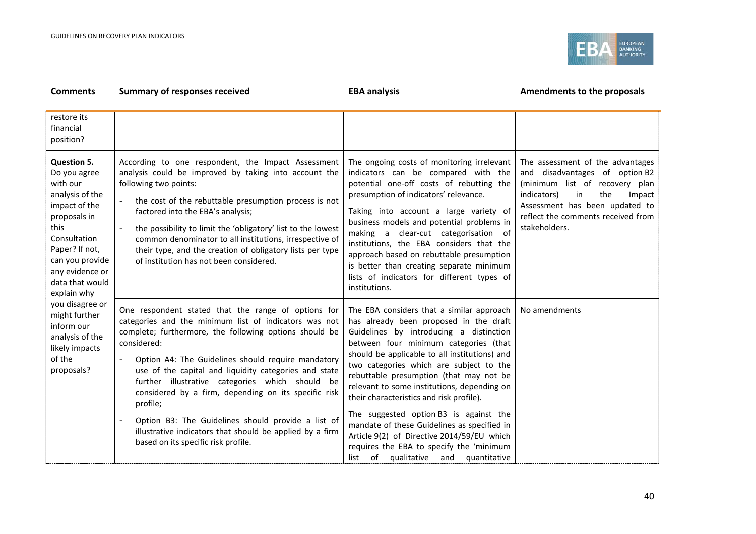

#### **Comments Summary of responses received EBA analysis EBA analysis EBA analysis Amendments to the proposals** restore its financial position? **Question 5.** Do you agree with our analysis of the impact of the proposals in this Consultation Paper? If not, can you provide any evidence or data that would explain why you disagree or might further inform our analysis of the likely impacts of the proposals? According to one respondent, the Impact Assessment analysis could be improved by taking into account the following two points: - the cost of the rebuttable presumption process is not factored into the EBA's analysis; the possibility to limit the 'obligatory' list to the lowest common denominator to all institutions, irrespective of their type, and the creation of obligatory lists per type of institution has not been considered. The ongoing costs of monitoring irrelevant indicators can be compared with the potential one-off costs of rebutting the presumption of indicators' relevance. Taking into account a large variety of business models and potential problems in making a clear-cut categorisation of institutions, the EBA considers that the approach based on rebuttable presumption is better than creating separate minimum lists of indicators for different types of institutions. The assessment of the advantages and disadvantages of option B2 (minimum list of recovery plan indicators) in the Impact Assessment has been updated to reflect the comments received from stakeholders. One respondent stated that the range of options for categories and the minimum list of indicators was not complete; furthermore, the following options should be considered: Option A4: The Guidelines should require mandatory use of the capital and liquidity categories and state further illustrative categories which should be considered by a firm, depending on its specific risk profile; Option B3: The Guidelines should provide a list of illustrative indicators that should be applied by a firm based on its specific risk profile. The EBA considers that a similar approach has already been proposed in the draft Guidelines by introducing a distinction between four minimum categories (that should be applicable to all institutions) and two categories which are subject to the rebuttable presumption (that may not be relevant to some institutions, depending on their characteristics and risk profile). The suggested option B3 is against the mandate of these Guidelines as specified in Article 9(2) of Directive 2014/59/EU which requires the EBA to specify the 'minimum list of qualitative and quantitative No amendments

#### 40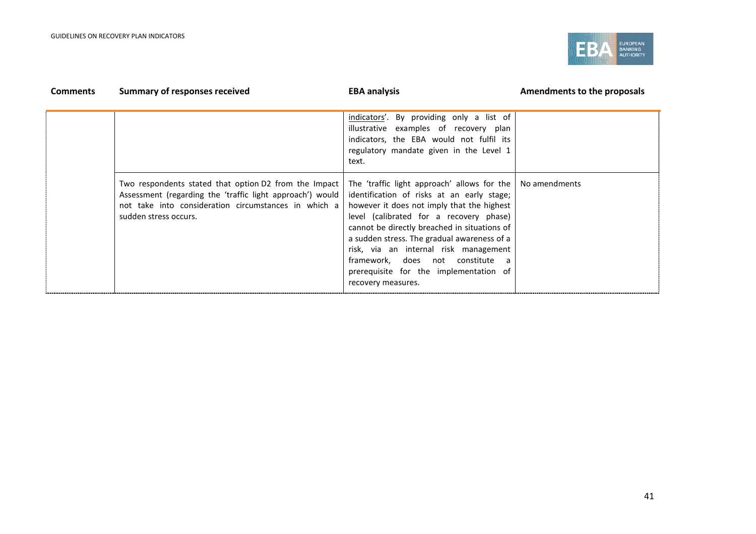

| <b>Comments</b> | <b>Summary of responses received</b>                                                                                                                                                                | <b>EBA analysis</b>                                                                                                                                                                                                                                                                                                                                                                                                            | Amendments to the proposals |
|-----------------|-----------------------------------------------------------------------------------------------------------------------------------------------------------------------------------------------------|--------------------------------------------------------------------------------------------------------------------------------------------------------------------------------------------------------------------------------------------------------------------------------------------------------------------------------------------------------------------------------------------------------------------------------|-----------------------------|
|                 |                                                                                                                                                                                                     | indicators'. By providing only a list of<br>illustrative examples of recovery plan<br>indicators, the EBA would not fulfil its<br>regulatory mandate given in the Level 1<br>text.                                                                                                                                                                                                                                             |                             |
|                 | Two respondents stated that option D2 from the Impact<br>Assessment (regarding the 'traffic light approach') would<br>not take into consideration circumstances in which a<br>sudden stress occurs. | The 'traffic light approach' allows for the<br>identification of risks at an early stage;<br>however it does not imply that the highest<br>level (calibrated for a recovery phase)<br>cannot be directly breached in situations of<br>a sudden stress. The gradual awareness of a<br>risk, via an internal risk management<br>framework, does not constitute a<br>prerequisite for the implementation of<br>recovery measures. | No amendments               |